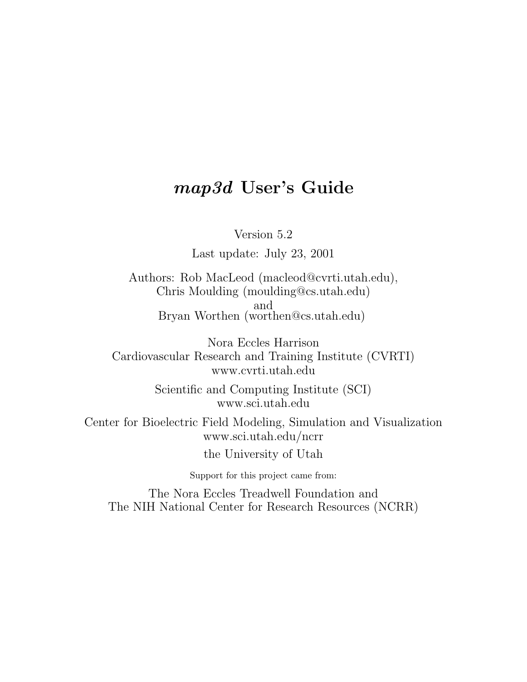# *map3d* **User's Guide**

Version 5.2

Last update: July 23, 2001

Authors: Rob MacLeod (macleod@cvrti.utah.edu), Chris Moulding (moulding@cs.utah.edu) and Bryan Worthen (worthen@cs.utah.edu)

Nora Eccles Harrison Cardiovascular Research and Training Institute (CVRTI) www.cvrti.utah.edu

> Scientific and Computing Institute (SCI) www.sci.utah.edu

Center for Bioelectric Field Modeling, Simulation and Visualization www.sci.utah.edu/ncrr

the University of Utah

Support for this project came from:

The Nora Eccles Treadwell Foundation and The NIH National Center for Research Resources (NCRR)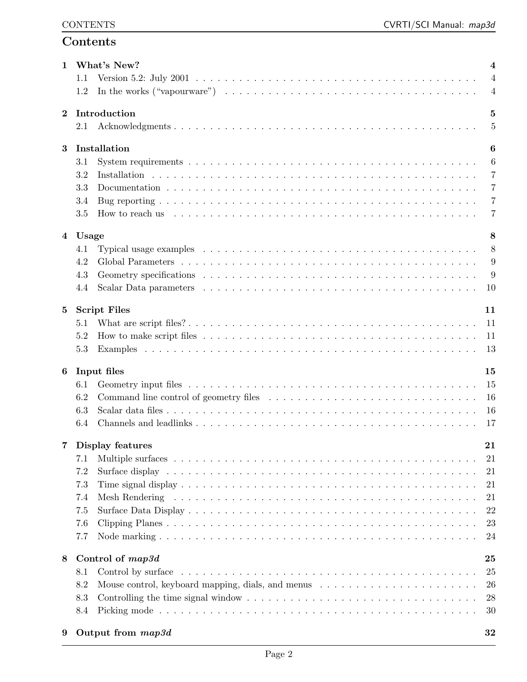## **Contents**

| $\mathbf{1}$    | What's New?                                                                                                                                                                                                                           | 4                    |
|-----------------|---------------------------------------------------------------------------------------------------------------------------------------------------------------------------------------------------------------------------------------|----------------------|
|                 | 1.1                                                                                                                                                                                                                                   | $\overline{4}$       |
|                 | In the works ("vapourware") $\ldots \ldots \ldots \ldots \ldots \ldots \ldots \ldots \ldots \ldots \ldots \ldots \ldots$<br>1.2                                                                                                       | $\overline{4}$       |
| $\bf{2}$        | Introduction                                                                                                                                                                                                                          | $\bf{5}$             |
|                 | 2.1                                                                                                                                                                                                                                   | 5                    |
|                 |                                                                                                                                                                                                                                       |                      |
| $\bf{3}$        | Installation<br>3.1                                                                                                                                                                                                                   | 6<br>$6\phantom{.}6$ |
|                 | 3.2                                                                                                                                                                                                                                   | 7                    |
|                 | 3.3                                                                                                                                                                                                                                   | $\overline{7}$       |
|                 | 3.4                                                                                                                                                                                                                                   | $\overline{7}$       |
|                 | 3.5<br>How to reach us enterpretent in the contract of the contract of the contract of the contract of the contract of the contract of the contract of the contract of the contract of the contract of the contract of the contract o | 7                    |
|                 |                                                                                                                                                                                                                                       |                      |
|                 | 4 Usage                                                                                                                                                                                                                               | 8                    |
|                 | 4.1                                                                                                                                                                                                                                   | 8                    |
|                 | 4.2                                                                                                                                                                                                                                   | 9                    |
|                 | 4.3                                                                                                                                                                                                                                   | 9                    |
|                 | 4.4                                                                                                                                                                                                                                   | 10                   |
| $5\phantom{.0}$ | <b>Script Files</b>                                                                                                                                                                                                                   | 11                   |
|                 | 5.1                                                                                                                                                                                                                                   | 11                   |
|                 | 5.2                                                                                                                                                                                                                                   | 11                   |
|                 | 5.3                                                                                                                                                                                                                                   | 13                   |
|                 |                                                                                                                                                                                                                                       |                      |
| 6               | Input files                                                                                                                                                                                                                           | 15                   |
|                 | 6.1                                                                                                                                                                                                                                   | 15                   |
|                 | 6.2                                                                                                                                                                                                                                   | 16                   |
|                 | 6.3                                                                                                                                                                                                                                   | 16                   |
|                 | 6.4                                                                                                                                                                                                                                   | 17                   |
|                 | Display features                                                                                                                                                                                                                      | 21                   |
|                 | 7.1                                                                                                                                                                                                                                   | 21                   |
|                 | 7.2                                                                                                                                                                                                                                   | 21                   |
|                 | 7.3                                                                                                                                                                                                                                   | 21                   |
|                 | 7.4                                                                                                                                                                                                                                   | 21                   |
|                 | 7.5                                                                                                                                                                                                                                   | 22                   |
|                 | 7.6                                                                                                                                                                                                                                   | 23                   |
|                 | 7.7                                                                                                                                                                                                                                   | 24                   |
|                 |                                                                                                                                                                                                                                       |                      |
| 8               | Control of map3d                                                                                                                                                                                                                      | 25<br>25             |
|                 | 8.1<br>8.2<br>Mouse control, keyboard mapping, dials, and menus                                                                                                                                                                       | 26                   |
|                 | 8.3                                                                                                                                                                                                                                   | 28                   |
|                 | 8.4                                                                                                                                                                                                                                   | 30                   |
|                 |                                                                                                                                                                                                                                       |                      |
| 9               | Output from map3d                                                                                                                                                                                                                     | 32                   |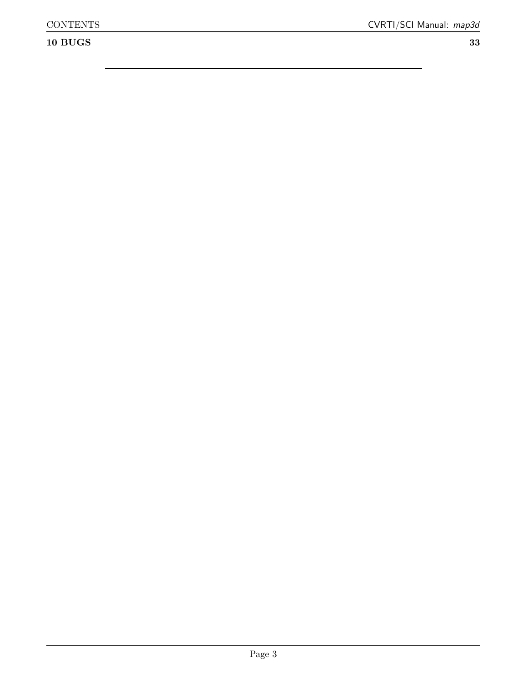### **10 BUGS 33**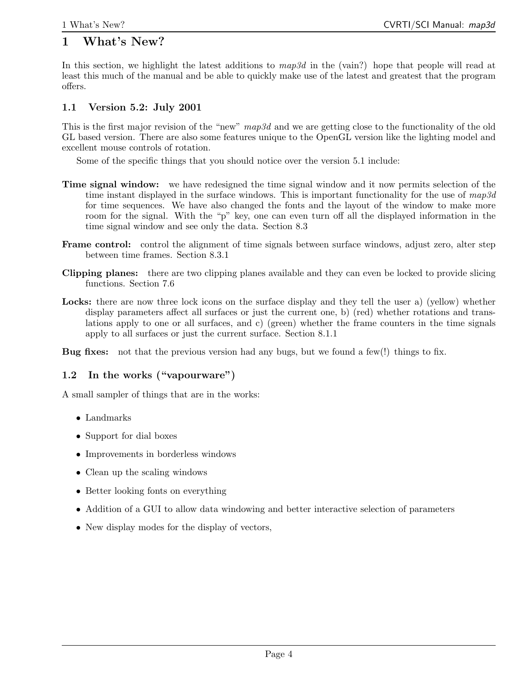## **1 What's New?**

In this section, we highlight the latest additions to *map3d* in the (vain?) hope that people will read at least this much of the manual and be able to quickly make use of the latest and greatest that the program offers.

#### **1.1 Version 5.2: July 2001**

This is the first major revision of the "new" *map3d* and we are getting close to the functionality of the old GL based version. There are also some features unique to the OpenGL version like the lighting model and excellent mouse controls of rotation.

Some of the specific things that you should notice over the version 5.1 include:

- **Time signal window:** we have redesigned the time signal window and it now permits selection of the time instant displayed in the surface windows. This is important functionality for the use of *map3d* for time sequences. We have also changed the fonts and the layout of the window to make more room for the signal. With the "p" key, one can even turn off all the displayed information in the time signal window and see only the data. Section 8.3
- **Frame control:** control the alignment of time signals between surface windows, adjust zero, alter step between time frames. Section 8.3.1
- **Clipping planes:** there are two clipping planes available and they can even be locked to provide slicing functions. Section 7.6
- Locks: there are now three lock icons on the surface display and they tell the user a) (yellow) whether display parameters affect all surfaces or just the current one, b) (red) whether rotations and translations apply to one or all surfaces, and c) (green) whether the frame counters in the time signals apply to all surfaces or just the current surface. Section 8.1.1

**Bug fixes:** not that the previous version had any bugs, but we found a few(!) things to fix.

#### **1.2 In the works ("vapourware")**

A small sampler of things that are in the works:

- *•* Landmarks
- Support for dial boxes
- *•* Improvements in borderless windows
- Clean up the scaling windows
- Better looking fonts on everything
- Addition of a GUI to allow data windowing and better interactive selection of parameters
- New display modes for the display of vectors,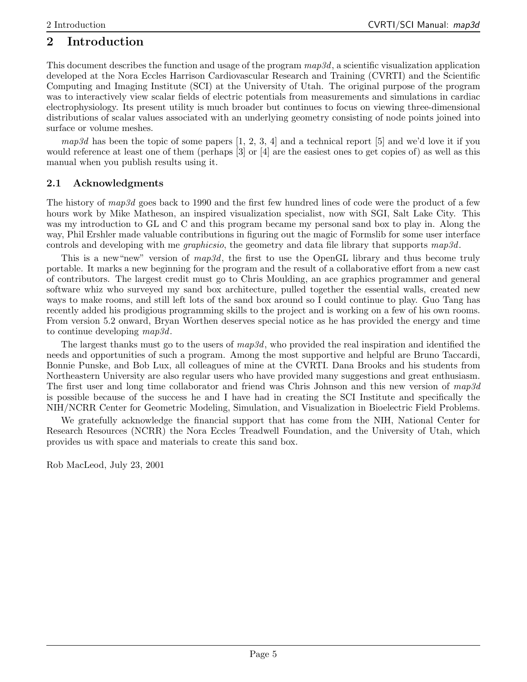## **2 Introduction**

This document describes the function and usage of the program *map3d*, a scientific visualization application developed at the Nora Eccles Harrison Cardiovascular Research and Training (CVRTI) and the Scientific Computing and Imaging Institute (SCI) at the University of Utah. The original purpose of the program was to interactively view scalar fields of electric potentials from measurements and simulations in cardiac electrophysiology. Its present utility is much broader but continues to focus on viewing three-dimensional distributions of scalar values associated with an underlying geometry consisting of node points joined into surface or volume meshes.

*map3d* has been the topic of some papers  $[1, 2, 3, 4]$  and a technical report  $[5]$  and we'd love it if you would reference at least one of them (perhaps [3] or [4] are the easiest ones to get copies of) as well as this manual when you publish results using it.

#### **2.1 Acknowledgments**

The history of *map3d* goes back to 1990 and the first few hundred lines of code were the product of a few hours work by Mike Matheson, an inspired visualization specialist, now with SGI, Salt Lake City. This was my introduction to GL and C and this program became my personal sand box to play in. Along the way, Phil Ershler made valuable contributions in figuring out the magic of Formslib for some user interface controls and developing with me *graphicsio*, the geometry and data file library that supports *map3d*.

This is a new"new" version of *map3d*, the first to use the OpenGL library and thus become truly portable. It marks a new beginning for the program and the result of a collaborative effort from a new cast of contributors. The largest credit must go to Chris Moulding, an ace graphics programmer and general software whiz who surveyed my sand box architecture, pulled together the essential walls, created new ways to make rooms, and still left lots of the sand box around so I could continue to play. Guo Tang has recently added his prodigious programming skills to the project and is working on a few of his own rooms. From version 5.2 onward, Bryan Worthen deserves special notice as he has provided the energy and time to continue developing *map3d*.

The largest thanks must go to the users of *map3d*, who provided the real inspiration and identified the needs and opportunities of such a program. Among the most supportive and helpful are Bruno Taccardi, Bonnie Punske, and Bob Lux, all colleagues of mine at the CVRTI. Dana Brooks and his students from Northeastern University are also regular users who have provided many suggestions and great enthusiasm. The first user and long time collaborator and friend was Chris Johnson and this new version of *map3d* is possible because of the success he and I have had in creating the SCI Institute and specifically the NIH/NCRR Center for Geometric Modeling, Simulation, and Visualization in Bioelectric Field Problems.

We gratefully acknowledge the financial support that has come from the NIH, National Center for Research Resources (NCRR) the Nora Eccles Treadwell Foundation, and the University of Utah, which provides us with space and materials to create this sand box.

Rob MacLeod, July 23, 2001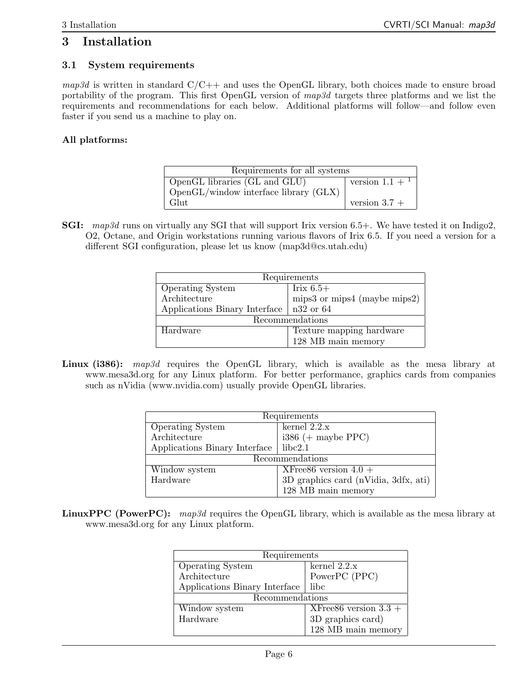## **3 Installation**

#### **3.1 System requirements**

 $map3d$  is written in standard  $C/C++$  and uses the OpenGL library, both choices made to ensure broad portability of the program. This first OpenGL version of *map3d* targets three platforms and we list the requirements and recommendations for each below. Additional platforms will follow—and follow even faster if you send us a machine to play on.

#### **All platforms:**

| Requirements for all systems              |                              |  |  |  |  |
|-------------------------------------------|------------------------------|--|--|--|--|
| OpenGL libraries (GL and GLU)             | version $1.1 +$ <sup>1</sup> |  |  |  |  |
| $OpenGL/window$ interface library $(GLX)$ |                              |  |  |  |  |
| $G$ lut                                   | version $3.7 +$              |  |  |  |  |

**SGI:** *map3d* runs on virtually any SGI that will support Irix version 6.5+. We have tested it on Indigo2, O2, Octane, and Origin workstations running various flavors of Irix 6.5. If you need a version for a different SGI configuration, please let us know (map3d@cs.utah.edu)

| Requirements                  |                              |  |  |  |  |
|-------------------------------|------------------------------|--|--|--|--|
| <b>Operating System</b>       | Irix $6.5+$                  |  |  |  |  |
| Architecture                  | mips3 or mips4 (maybe mips2) |  |  |  |  |
| Applications Binary Interface | $n32$ or 64                  |  |  |  |  |
|                               | Recommendations              |  |  |  |  |
| Hardware                      | Texture mapping hardware     |  |  |  |  |
|                               | 128 MB main memory           |  |  |  |  |

**Linux (i386):** *map3d* requires the OpenGL library, which is available as the mesa library at www.mesa3d.org for any Linux platform. For better performance, graphics cards from companies such as nVidia (www.nvidia.com) usually provide OpenGL libraries.

| Requirements                  |                                      |  |  |  |  |
|-------------------------------|--------------------------------------|--|--|--|--|
| <b>Operating System</b>       | kernel $2.2.x$                       |  |  |  |  |
| Architecture                  | $i386 (+$ maybe PPC $)$              |  |  |  |  |
| Applications Binary Interface | $\vert$ libc2.1                      |  |  |  |  |
|                               | Recommendations                      |  |  |  |  |
| Window system                 | XFree86 version $4.0 +$              |  |  |  |  |
| Hardware                      | 3D graphics card (nVidia, 3dfx, ati) |  |  |  |  |
|                               | 128 MB main memory                   |  |  |  |  |

**LinuxPPC (PowerPC):** *map3d* requires the OpenGL library, which is available as the mesa library at www.mesa3d.org for any Linux platform.

| Requirements                  |                                    |  |  |  |  |  |
|-------------------------------|------------------------------------|--|--|--|--|--|
| <b>Operating System</b>       | kernel $2.2.x$                     |  |  |  |  |  |
| Architecture                  | PowerPC (PPC)                      |  |  |  |  |  |
| Applications Binary Interface | libc                               |  |  |  |  |  |
| Recommendations               |                                    |  |  |  |  |  |
| Window system                 | XFree86 version $\overline{3.3}$ + |  |  |  |  |  |
| Hardware                      | 3D graphics card)                  |  |  |  |  |  |
|                               | $128~\mathrm{MB}$ main memory      |  |  |  |  |  |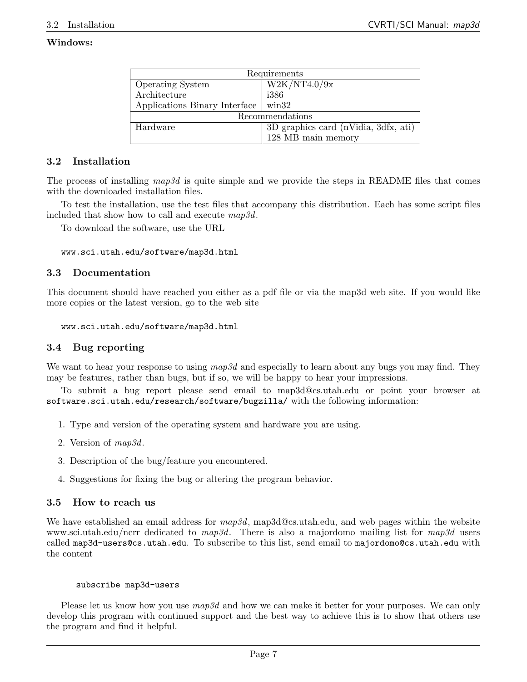#### **Windows:**

| Requirements                  |                                                   |  |  |  |  |
|-------------------------------|---------------------------------------------------|--|--|--|--|
| <b>Operating System</b>       | W2K/NT4.0/9x                                      |  |  |  |  |
| Architecture                  | i386                                              |  |  |  |  |
| Applications Binary Interface | $\min32$                                          |  |  |  |  |
| Recommendations               |                                                   |  |  |  |  |
| Hardware                      | 3D graphics card (nVidia, $3\overline{dx}$ , ati) |  |  |  |  |
|                               | 128 MB main memory                                |  |  |  |  |

#### **3.2 Installation**

The process of installing *map3d* is quite simple and we provide the steps in README files that comes with the downloaded installation files.

To test the installation, use the test files that accompany this distribution. Each has some script files included that show how to call and execute *map3d*.

To download the software, use the URL

www.sci.utah.edu/software/map3d.html

#### **3.3 Documentation**

This document should have reached you either as a pdf file or via the map3d web site. If you would like more copies or the latest version, go to the web site

www.sci.utah.edu/software/map3d.html

#### **3.4 Bug reporting**

We want to hear your response to using *map3d* and especially to learn about any bugs you may find. They may be features, rather than bugs, but if so, we will be happy to hear your impressions.

To submit a bug report please send email to map3d@cs.utah.edu or point your browser at software.sci.utah.edu/research/software/bugzilla/ with the following information:

- 1. Type and version of the operating system and hardware you are using.
- 2. Version of *map3d*.
- 3. Description of the bug/feature you encountered.
- 4. Suggestions for fixing the bug or altering the program behavior.

#### **3.5 How to reach us**

We have established an email address for *map3d*, map3d@cs.utah.edu, and web pages within the website www.sci.utah.edu/ncrr dedicated to *map3d*. There is also a majordomo mailing list for *map3d* users called map3d-users@cs.utah.edu. To subscribe to this list, send email to majordomo@cs.utah.edu with the content

#### subscribe map3d-users

Please let us know how you use *map3d* and how we can make it better for your purposes. We can only develop this program with continued support and the best way to achieve this is to show that others use the program and find it helpful.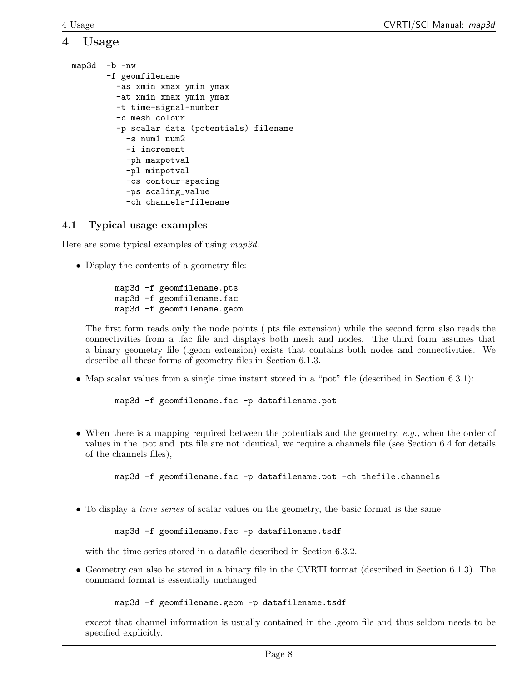#### **4 Usage**

```
map3d -b -nw
       -f geomfilename
         -as xmin xmax ymin ymax
         -at xmin xmax ymin ymax
         -t time-signal-number
         -c mesh colour
         -p scalar data (potentials) filename
           -s num1 num2
           -i increment
           -ph maxpotval
           -pl minpotval
           -cs contour-spacing
           -ps scaling_value
           -ch channels-filename
```
#### **4.1 Typical usage examples**

Here are some typical examples of using *map3d*:

• Display the contents of a geometry file:

```
map3d -f geomfilename.pts
map3d -f geomfilename.fac
map3d -f geomfilename.geom
```
The first form reads only the node points (.pts file extension) while the second form also reads the connectivities from a .fac file and displays both mesh and nodes. The third form assumes that a binary geometry file (.geom extension) exists that contains both nodes and connectivities. We describe all these forms of geometry files in Section 6.1.3.

• Map scalar values from a single time instant stored in a "pot" file (described in Section 6.3.1):

map3d -f geomfilename.fac -p datafilename.pot

• When there is a mapping required between the potentials and the geometry, *e.g.*, when the order of values in the .pot and .pts file are not identical, we require a channels file (see Section 6.4for details of the channels files),

```
map3d -f geomfilename.fac -p datafilename.pot -ch thefile.channels
```
*•* To display a *time series* of scalar values on the geometry, the basic format is the same

```
map3d -f geomfilename.fac -p datafilename.tsdf
```
with the time series stored in a datafile described in Section 6.3.2.

• Geometry can also be stored in a binary file in the CVRTI format (described in Section 6.1.3). The command format is essentially unchanged

```
map3d -f geomfilename.geom -p datafilename.tsdf
```
except that channel information is usually contained in the .geom file and thus seldom needs to be specified explicitly.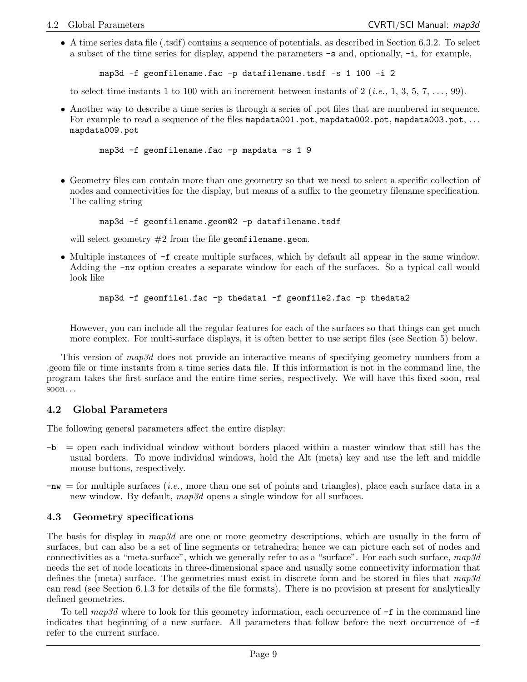• A time series data file (.tsdf) contains a sequence of potentials, as described in Section 6.3.2. To select a subset of the time series for display, append the parameters -s and, optionally, -i, for example,

map3d -f geomfilename.fac -p datafilename.tsdf -s 1 100 -i 2

to select time instants 1 to 100 with an increment between instants of 2 (*i.e.*, 1, 3, 5, 7, ..., 99).

• Another way to describe a time series is through a series of .pot files that are numbered in sequence. For example to read a sequence of the files mapdata001.pot, mapdata002.pot, mapdata003.pot, ... mapdata009.pot

map3d -f geomfilename.fac -p mapdata -s 1 9

• Geometry files can contain more than one geometry so that we need to select a specific collection of nodes and connectivities for the display, but means of a suffix to the geometry filename specification. The calling string

map3d -f geomfilename.geom@2 -p datafilename.tsdf

will select geometry  $#2$  from the file geomfilename.geom.

• Multiple instances of  $-f$  create multiple surfaces, which by default all appear in the same window. Adding the -nw option creates a separate window for each of the surfaces. So a typical call would look like

map3d -f geomfile1.fac -p thedata1 -f geomfile2.fac -p thedata2

However, you can include all the regular features for each of the surfaces so that things can get much more complex. For multi-surface displays, it is often better to use script files (see Section 5) below.

This version of *map3d* does not provide an interactive means of specifying geometry numbers from a .geom file or time instants from a time series data file. If this information is not in the command line, the program takes the first surface and the entire time series, respectively. We will have this fixed soon, real soon. . .

#### **4.2 Global Parameters**

The following general parameters affect the entire display:

- -b = open each individual window without borders placed within a master window that still has the usual borders. To move individual windows, hold the Alt (meta) key and use the left and middle mouse buttons, respectively.
- -nw = for multiple surfaces (*i.e.,* more than one set of points and triangles), place each surface data in a new window. By default, *map3d* opens a single window for all surfaces.

#### **4.3 Geometry specifications**

The basis for display in *map3d* are one or more geometry descriptions, which are usually in the form of surfaces, but can also be a set of line segments or tetrahedra; hence we can picture each set of nodes and connectivities as a "meta-surface", which we generally refer to as a "surface". For each such surface, *map3d* needs the set of node locations in three-dimensional space and usually some connectivity information that defines the (meta) surface. The geometries must exist in discrete form and be stored in files that *map3d* can read (see Section 6.1.3 for details of the file formats). There is no provision at present for analytically defined geometries.

To tell *map3d* where to look for this geometry information, each occurrence of -f in the command line indicates that beginning of a new surface. All parameters that follow before the next occurrence of -f refer to the current surface.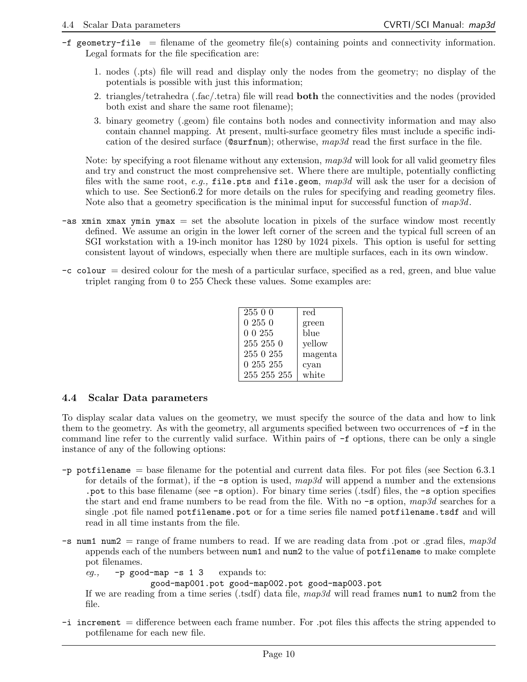- $-f$  geometry-file = filename of the geometry file(s) containing points and connectivity information. Legal formats for the file specification are:
	- 1. nodes (.pts) file will read and display only the nodes from the geometry; no display of the potentials is possible with just this information;
	- 2. triangles/tetrahedra (.fac/.tetra) file will read **both** the connectivities and the nodes (provided both exist and share the same root filename);
	- 3. binary geometry (.geom) file contains both nodes and connectivity information and may also contain channel mapping. At present, multi-surface geometry files must include a specific indication of the desired surface (@surfnum); otherwise, *map3d* read the first surface in the file.

Note: by specifying a root filename without any extension, *map3d* will look for all valid geometry files and try and construct the most comprehensive set. Where there are multiple, potentially conflicting files with the same root, e.g., file.pts and file.geom,  $mnp3d$  will ask the user for a decision of which to use. See Section 6.2 for more details on the rules for specifying and reading geometry files. Note also that a geometry specification is the minimal input for successful function of *map3d*.

- $-\text{as xmin xmax ymin ymax}$  = set the absolute location in pixels of the surface window most recently defined. We assume an origin in the lower left corner of the screen and the typical full screen of an SGI workstation with a 19-inch monitor has 1280 by 1024 pixels. This option is useful for setting consistent layout of windows, especially when there are multiple surfaces, each in its own window.
- $-c$  colour = desired colour for the mesh of a particular surface, specified as a red, green, and blue value triplet ranging from 0 to 255 Check these values. Some examples are:

| 25500       | red     |
|-------------|---------|
| 02550       | green   |
| 00255       | blue    |
| 255 255 0   | yellow  |
| 255 0 255   | magenta |
| 0 255 255   | cyan    |
| 255 255 255 | white   |

#### **4.4 Scalar Data parameters**

To display scalar data values on the geometry, we must specify the source of the data and how to link them to the geometry. As with the geometry, all arguments specified between two occurrences of -f in the command line refer to the currently valid surface. Within pairs of -f options, there can be only a single instance of any of the following options:

- -p potfilename = base filename for the potential and current data files. For pot files (see Section 6.3.1 for details of the format), if the -s option is used, *map3d* will append a number and the extensions .pot to this base filename (see -s option). For binary time series (.tsdf) files, the -s option specifies the start and end frame numbers to be read from the file. With no -s option, *map3d* searches for a single .pot file named potfilename.pot or for a time series file named potfilename.tsdf and will read in all time instants from the file.
- -s num1 num2 = range of frame numbers to read. If we are reading data from .pot or .grad files, *map3d* appends each of the numbers between num1 and num2 to the value of potfilename to make complete pot filenames.

*eg.,* -p good-map -s 1 3 expands to:

good-map001.pot good-map002.pot good-map003.pot

If we are reading from a time series (.tsdf) data file, *map3d* will read frames num1 to num2 from the file.

-i increment = difference between each frame number. For .pot files this affects the string appended to potfilename for each new file.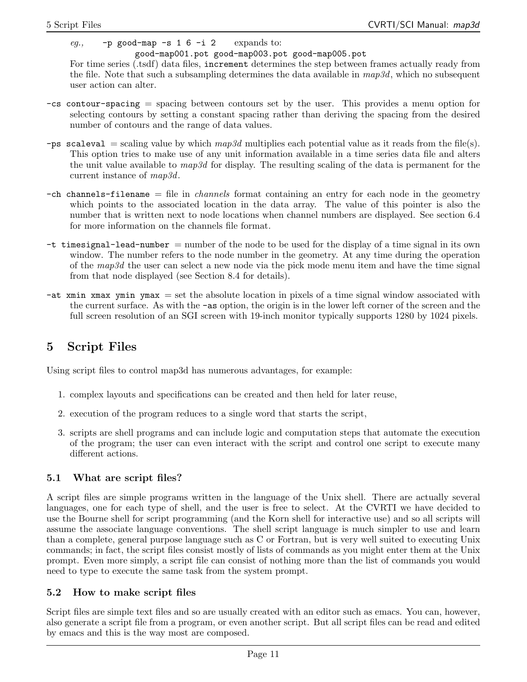$eg.,$  -p good-map -s 1 6 -i 2 expands to:

good-map001.pot good-map003.pot good-map005.pot

For time series (.tsdf) data files, increment determines the step between frames actually ready from the file. Note that such a subsampling determines the data available in *map3d*, which no subsequent user action can alter.

- -cs contour-spacing = spacing between contours set by the user. This provides a menu option for selecting contours by setting a constant spacing rather than deriving the spacing from the desired number of contours and the range of data values.
- -ps scaleval = scaling value by which *map3d* multiplies each potential value as it reads from the file(s). This option tries to make use of any unit information available in a time series data file and alters the unit value available to *map3d* for display. The resulting scaling of the data is permanent for the current instance of *map3d*.
- -ch channels-filename = file in *channels* format containing an entry for each node in the geometry which points to the associated location in the data array. The value of this pointer is also the number that is written next to node locations when channel numbers are displayed. See section 6.4 for more information on the channels file format.
- $-t$  timesignal-lead-number = number of the node to be used for the display of a time signal in its own window. The number refers to the node number in the geometry. At any time during the operation of the *map3d* the user can select a new node via the pick mode menu item and have the time signal from that node displayed (see Section 8.4 for details).
- $-\text{at } x$ min xmax ymin ymax = set the absolute location in pixels of a time signal window associated with the current surface. As with the -as option, the origin is in the lower left corner of the screen and the full screen resolution of an SGI screen with 19-inch monitor typically supports 1280 by 1024 pixels.

## **5 Script Files**

Using script files to control map3d has numerous advantages, for example:

- 1. complex layouts and specifications can be created and then held for later reuse,
- 2. execution of the program reduces to a single word that starts the script,
- 3. scripts are shell programs and can include logic and computation steps that automate the execution of the program; the user can even interact with the script and control one script to execute many different actions.

#### **5.1 What are script files?**

A script files are simple programs written in the language of the Unix shell. There are actually several languages, one for each type of shell, and the user is free to select. At the CVRTI we have decided to use the Bourne shell for script programming (and the Korn shell for interactive use) and so all scripts will assume the associate language conventions. The shell script language is much simpler to use and learn than a complete, general purpose language such as C or Fortran, but is very well suited to executing Unix commands; in fact, the script files consist mostly of lists of commands as you might enter them at the Unix prompt. Even more simply, a script file can consist of nothing more than the list of commands you would need to type to execute the same task from the system prompt.

#### **5.2 How to make script files**

Script files are simple text files and so are usually created with an editor such as emacs. You can, however, also generate a script file from a program, or even another script. But all script files can be read and edited by emacs and this is the way most are composed.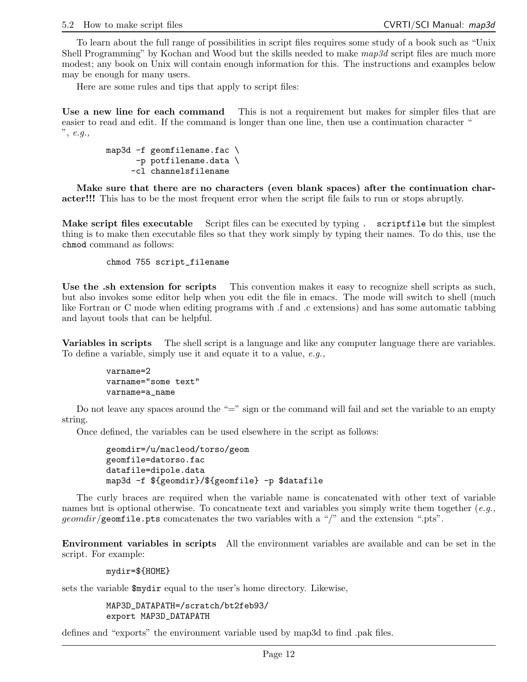To learn about the full range of possibilities in script files requires some study of a book such as "Unix Shell Programming" by Kochan and Wood but the skills needed to make *map3d* script files are much more modest; any book on Unix will contain enough information for this. The instructions and examples below may be enough for many users.

Here are some rules and tips that apply to script files:

**Use a new line for each command** This is not a requirement but makes for simpler files that are easier to read and edit. If the command is longer than one line, then use a continuation character " ", *e.g.,*

```
map3d -f geomfilename.fac \
      -p potfilename.data \
     -cl channelsfilename
```
**Make sure that there are no characters (even blank spaces) after the continuation character!!!** This has to be the most frequent error when the script file fails to run or stops abruptly.

**Make script files executable** Script files can be executed by typing . scriptfile but the simplest thing is to make then executable files so that they work simply by typing their names. To do this, use the chmod command as follows:

chmod 755 script\_filename

**Use the .sh extension for scripts** This convention makes it easy to recognize shell scripts as such, but also invokes some editor help when you edit the file in emacs. The mode will switch to shell (much like Fortran or C mode when editing programs with .f and .c extensions) and has some automatic tabbing and layout tools that can be helpful.

**Variables in scripts** The shell script is a language and like any computer language there are variables. To define a variable, simply use it and equate it to a value, *e.g.,*

> varname=2 varname="some text" varname=a\_name

Do not leave any spaces around the "=" sign or the command will fail and set the variable to an empty string.

Once defined, the variables can be used elsewhere in the script as follows:

```
geomdir=/u/macleod/torso/geom
geomfile=datorso.fac
datafile=dipole.data
map3d -f ${geomdir}/${geomfile} -p $datafile
```
The curly braces are required when the variable name is concatenated with other text of variable names but is optional otherwise. To concatneate text and variables you simply write them together (*e.g.,*  $geomdir/g$ eomfile.pts comcatenates the two variables with a "/" and the extension ".pts".

**Environment variables in scripts** All the environment variables are available and can be set in the script. For example:

mydir=\${HOME}

sets the variable \$mydir equal to the user's home directory. Likewise,

MAP3D\_DATAPATH=/scratch/bt2feb93/ export MAP3D\_DATAPATH

defines and "exports" the environment variable used by map3d to find .pak files.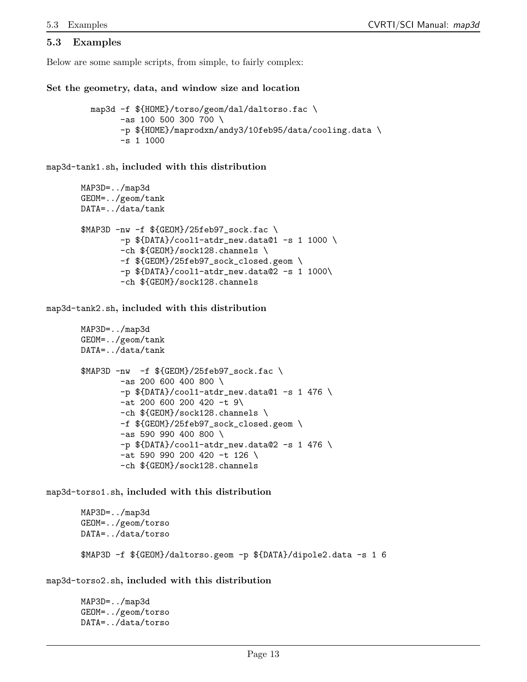#### **5.3 Examples**

Below are some sample scripts, from simple, to fairly complex:

#### **Set the geometry, data, and window size and location**

```
map3d -f ${HOME}/torso/geom/dal/daltorso.fac \
      -as 100 500 300 700 \
      -p ${HOME}/maprodxn/andy3/10feb95/data/cooling.data \
      -s 1 1000
```
map3d-tank1.sh**, included with this distribution**

```
MAP3D=../map3d
GEOM=../geom/tank
DATA=../data/tank
$MAP3D -nw -f ${GEDM}/25feb97 sock.fac \
        -p ${DATA}/cool1-atdr_new.data@1 -s 1 1000 \
        -ch ${GEOM}/sock128.channels \
        -f ${GEOM}/25feb97_sock_closed.geom \
        -p $\{DATA\}/cool1-atdr_new.data@2 -s 1 1000\}-ch ${GEOM}/sock128.channels
```
map3d-tank2.sh**, included with this distribution**

```
MAP3D=../map3d
GEOM=../geom/tank
DATA=../data/tank
$MAP3D -nw -f ${GEDM}/25feb97 sock.fac \
        -as 200 600 400 800 \
        -p $\{DATA\}/cool1-atdr_new.data@1 -s 1 476 \-at 200 600 200 420 -t 9\
        -ch ${GEOM}/sock128.channels \
        -f ${GEOM}/25feb97_sock_closed.geom \
        -as 590 990 400 800 \
        -p ${DATA}/cool1-atdr_new.data@2 -s 1 476 \
        -at 590 990 200 420 -t 126 \
        -ch ${GEOM}/sock128.channels
```
map3d-torso1.sh**, included with this distribution**

MAP3D=../map3d GEOM=../geom/torso DATA=../data/torso \$MAP3D -f \${GEOM}/daltorso.geom -p \${DATA}/dipole2.data -s 1 6

map3d-torso2.sh**, included with this distribution**

MAP3D=../map3d GEOM=../geom/torso DATA=../data/torso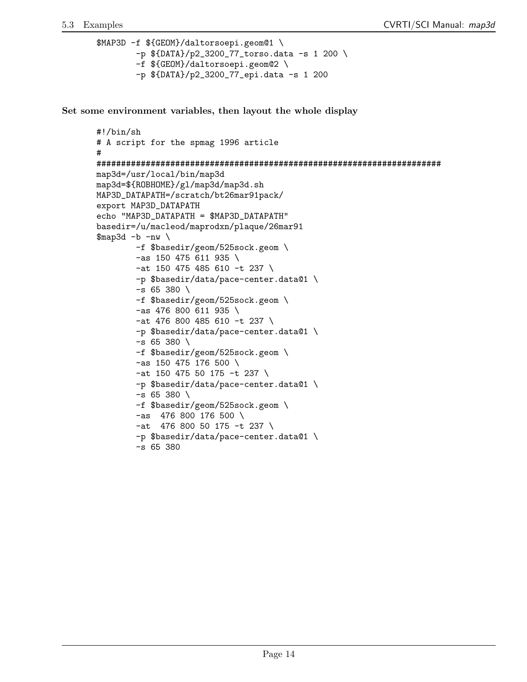```
$MAP3D -f ${GEOM}/daltorsoepi.geom@1 \
        -p ${DATA}/p2_3200_77_torso.data -s 1 200 \
       -f ${GEOM}/daltorsoepi.geom@2 \
        -p ${DATA}/p2_3200_77_epi.data -s 1 200
```
**Set some environment variables, then layout the whole display**

```
#!/bin/sh
# A script for the spmag 1996 article
#
######################################################################
map3d=/usr/local/bin/map3d
map3d=${ROBHOME}/gl/map3d/map3d.sh
MAP3D_DATAPATH=/scratch/bt26mar91pack/
export MAP3D_DATAPATH
echo "MAP3D_DATAPATH = $MAP3D_DATAPATH"
basedir=/u/macleod/maprodxn/plaque/26mar91
\frac{m}{2} -b -nw \
        -f $basedir/geom/525sock.geom \
        -as 150 475 611 935 \
        -at 150 475 485 610 -t 237 \
        -p $basedir/data/pace-center.data@1 \
        - s 65 380 \ \{-f $basedir/geom/525sock.geom \
        -as 476 800 611 935 \
        -at 476 800 485 610 -t 237 \
        -p $basedir/data/pace-center.data@1 \
        -s 65 380 \
        -f $basedir/geom/525sock.geom \
        -as 150 475 176 500 \
        -at 150 475 50 175 -t 237 \
        -p $basedir/data/pace-center.data@1 \
        -s 65 380 \
        -f $basedir/geom/525sock.geom \
        -as 476 800 176 500 \
        -at 476 800 50 175 -t 237 \
        -p $basedir/data/pace-center.data@1 \
        -s 65 380
```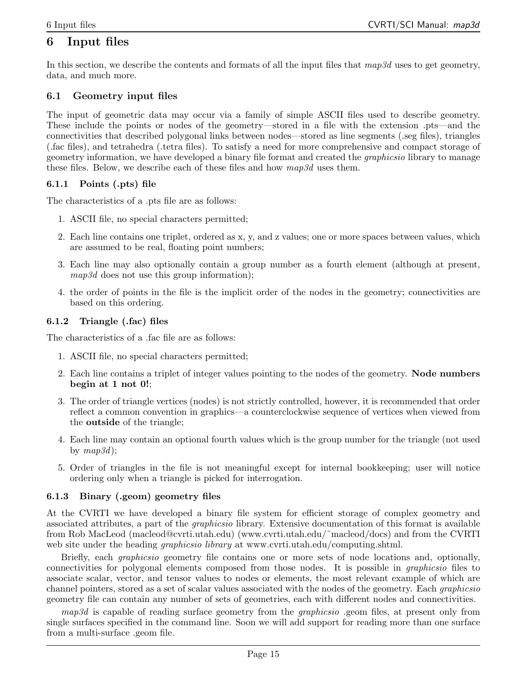## **6 Input files**

In this section, we describe the contents and formats of all the input files that *map3d* uses to get geometry, data, and much more.

#### **6.1 Geometry input files**

The input of geometric data may occur via a family of simple ASCII files used to describe geometry. These include the points or nodes of the geometry—stored in a file with the extension .pts—and the connectivities that described polygonal links between nodes—stored as line segments (.seg files), triangles (.fac files), and tetrahedra (.tetra files). To satisfy a need for more comprehensive and compact storage of geometry information, we have developed a binary file format and created the *graphicsio* library to manage these files. Below, we describe each of these files and how *map3d* uses them.

#### **6.1.1 Points (.pts) file**

The characteristics of a .pts file are as follows:

- 1. ASCII file, no special characters permitted;
- 2. Each line contains one triplet, ordered as x, y, and z values; one or more spaces between values, which are assumed to be real, floating point numbers;
- 3. Each line may also optionally contain a group number as a fourth element (although at present, *map3d* does not use this group information);
- 4. the order of points in the file is the implicit order of the nodes in the geometry; connectivities are based on this ordering.

#### **6.1.2 Triangle (.fac) files**

The characteristics of a .fac file are as follows:

- 1. ASCII file, no special characters permitted;
- 2. Each line contains a triplet of integer values pointing to the nodes of the geometry. **Node numbers begin at 1 not 0!**;
- 3. The order of triangle vertices (nodes) is not strictly controlled, however, it is recommended that order reflect a common convention in graphics—a counterclockwise sequence of vertices when viewed from the **outside** of the triangle;
- 4. Each line may contain an optional fourth values which is the group number for the triangle (not used by *map3d*);
- 5. Order of triangles in the file is not meaningful except for internal bookkeeping; user will notice ordering only when a triangle is picked for interrogation.

#### **6.1.3 Binary (.geom) geometry files**

At the CVRTI we have developed a binary file system for efficient storage of complex geometry and associated attributes, a part of the *graphicsio* library. Extensive documentation of this format is available from Rob MacLeod (macleod@cvrti.utah.edu) (www.cvrti.utah.edu/˜macleod/docs) and from the CVRTI web site under the heading *graphicsio library* at www.cvrti.utah.edu/computing.shtml.

Briefly, each *graphicsio* geometry file contains one or more sets of node locations and, optionally, connectivities for polygonal elements composed from those nodes. It is possible in *graphicsio* files to associate scalar, vector, and tensor values to nodes or elements, the most relevant example of which are channel pointers, stored as a set of scalar values associated with the nodes of the geometry. Each *graphicsio* geometry file can contain any number of sets of geometries, each with different nodes and connectivities.

*map3d* is capable of reading surface geometry from the *graphicsio* .geom files, at present only from single surfaces specified in the command line. Soon we will add support for reading more than one surface from a multi-surface .geom file.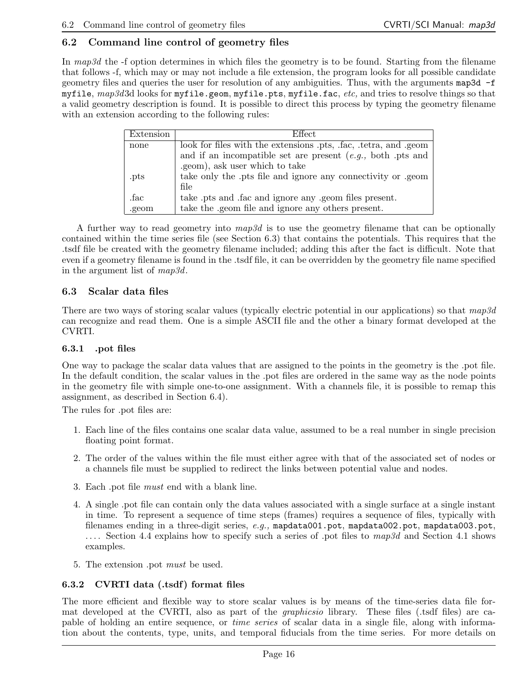### **6.2 Command line control of geometry files**

In *map3d* the -f option determines in which files the geometry is to be found. Starting from the filename that follows -f, which may or may not include a file extension, the program looks for all possible candidate geometry files and queries the user for resolution of any ambiguities. Thus, with the arguments map3d -f myfile, *map3d*3d looks for myfile.geom, myfile.pts, myfile.fac, *etc,* and tries to resolve things so that a valid geometry description is found. It is possible to direct this process by typing the geometry filename with an extension according to the following rules:

| Extension | <b>Effect</b>                                                    |  |  |  |  |
|-----------|------------------------------------------------------------------|--|--|--|--|
| none      | look for files with the extensions .pts, .fac, .tetra, and .geom |  |  |  |  |
|           | and if an incompatible set are present $(e.g., both.pts and$     |  |  |  |  |
|           | .geom), ask user which to take                                   |  |  |  |  |
| .pts      | take only the .pts file and ignore any connectivity or .geom     |  |  |  |  |
|           | file                                                             |  |  |  |  |
| .fac      | take .pts and .fac and ignore any .geom files present.           |  |  |  |  |
| .geom     | take the geom file and ignore any others present.                |  |  |  |  |

A further way to read geometry into *map3d* is to use the geometry filename that can be optionally contained within the time series file (see Section 6.3) that contains the potentials. This requires that the .tsdf file be created with the geometry filename included; adding this after the fact is difficult. Note that even if a geometry filename is found in the .tsdf file, it can be overridden by the geometry file name specified in the argument list of *map3d*.

#### **6.3 Scalar data files**

There are two ways of storing scalar values (typically electric potential in our applications) so that *map3d* can recognize and read them. One is a simple ASCII file and the other a binary format developed at the CVRTI.

#### **6.3.1 .pot files**

One way to package the scalar data values that are assigned to the points in the geometry is the .pot file. In the default condition, the scalar values in the .pot files are ordered in the same way as the node points in the geometry file with simple one-to-one assignment. With a channels file, it is possible to remap this assignment, as described in Section 6.4).

The rules for .pot files are:

- 1. Each line of the files contains one scalar data value, assumed to be a real number in single precision floating point format.
- 2. The order of the values within the file must either agree with that of the associated set of nodes or a channels file must be supplied to redirect the links between potential value and nodes.
- 3. Each .pot file *must* end with a blank line.
- 4. A single .pot file can contain only the data values associated with a single surface at a single instant in time. To represent a sequence of time steps (frames) requires a sequence of files, typically with filenames ending in a three-digit series, *e.g.,* mapdata001.pot, mapdata002.pot, mapdata003.pot, . . . . Section 4.4 explains how to specify such a series of .pot files to *map3d* and Section 4.1 shows examples.
- 5. The extension .pot *must* be used.

#### **6.3.2 CVRTI data (.tsdf) format files**

The more efficient and flexible way to store scalar values is by means of the time-series data file format developed at the CVRTI, also as part of the *graphicsio* library. These files (.tsdf files) are capable of holding an entire sequence, or *time series* of scalar data in a single file, along with information about the contents, type, units, and temporal fiducials from the time series. For more details on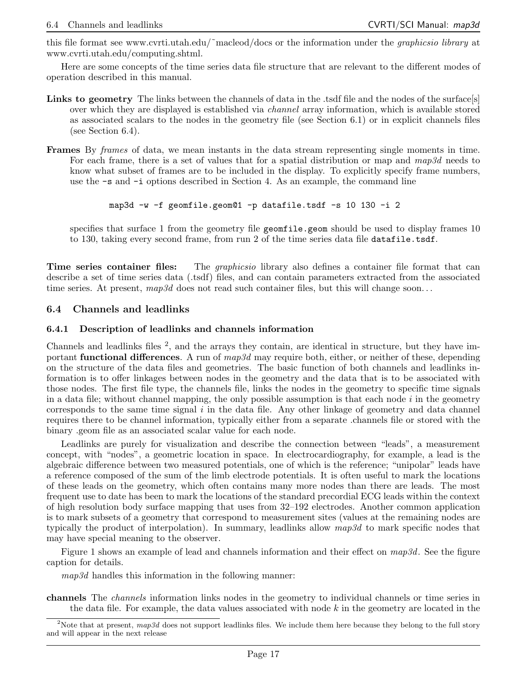this file format see www.cvrti.utah.edu/˜macleod/docs or the information under the *graphicsio library* at www.cvrti.utah.edu/computing.shtml.

Here are some concepts of the time series data file structure that are relevant to the different modes of operation described in this manual.

- Links to geometry The links between the channels of data in the .tsdf file and the nodes of the surface[s] over which they are displayed is established via *channel* array information, which is available stored as associated scalars to the nodes in the geometry file (see Section 6.1) or in explicit channels files (see Section 6.4).
- **Frames** By *frames* of data, we mean instants in the data stream representing single moments in time. For each frame, there is a set of values that for a spatial distribution or map and *map3d* needs to know what subset of frames are to be included in the display. To explicitly specify frame numbers, use the -s and -i options described in Section 4. As an example, the command line

```
map3d -w -f geomfile.geom@1 -p datafile.tsdf -s 10 130 -i 2
```
specifies that surface 1 from the geometry file geometries.geom should be used to display frames 10 to 130, taking every second frame, from run 2 of the time series data file datafile.tsdf.

**Time series container files:** The *graphicsio* library also defines a container file format that can describe a set of time series data (.tsdf) files, and can contain parameters extracted from the associated time series. At present, *map3d* does not read such container files, but this will change soon...

#### **6.4 Channels and leadlinks**

#### **6.4.1 Description of leadlinks and channels information**

Channels and leadlinks files  $^2$ , and the arrays they contain, are identical in structure, but they have important **functional differences**. A run of *map3d* may require both, either, or neither of these, depending on the structure of the data files and geometries. The basic function of both channels and leadlinks information is to offer linkages between nodes in the geometry and the data that is to be associated with those nodes. The first file type, the channels file, links the nodes in the geometry to specific time signals in a data file; without channel mapping, the only possible assumption is that each node  $i$  in the geometry corresponds to the same time signal  $i$  in the data file. Any other linkage of geometry and data channel requires there to be channel information, typically either from a separate .channels file or stored with the binary .geom file as an associated scalar value for each node.

Leadlinks are purely for visualization and describe the connection between "leads", a measurement concept, with "nodes", a geometric location in space. In electrocardiography, for example, a lead is the algebraic difference between two measured potentials, one of which is the reference; "unipolar" leads have a reference composed of the sum of the limb electrode potentials. It is often useful to mark the locations of these leads on the geometry, which often contains many more nodes than there are leads. The most frequent use to date has been to mark the locations of the standard precordial ECG leads within the context of high resolution body surface mapping that uses from 32–192 electrodes. Another common application is to mark subsets of a geometry that correspond to measurement sites (values at the remaining nodes are typically the product of interpolation). In summary, leadlinks allow *map3d* to mark specific nodes that may have special meaning to the observer.

Figure 1 shows an example of lead and channels information and their effect on *map3d*. See the figure caption for details.

*map3d* handles this information in the following manner:

**channels** The *channels* information links nodes in the geometry to individual channels or time series in the data file. For example, the data values associated with node  $k$  in the geometry are located in the

<sup>&</sup>lt;sup>2</sup>Note that at present,  $map3d$  does not support leadlinks files. We include them here because they belong to the full story and will appear in the next release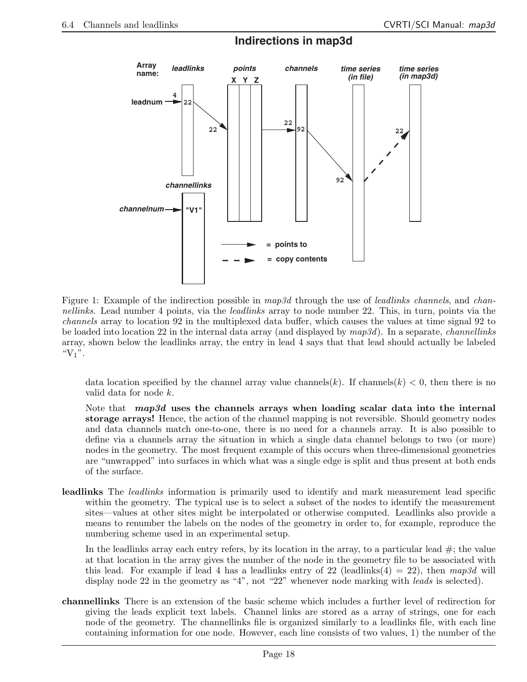

#### **Indirections in map3d**

Figure 1: Example of the indirection possible in *map3d* through the use of *leadlinks channels*, and *channellinks*. Lead number 4 points, via the *leadlinks* array to node number 22. This, in turn, points via the *channels* array to location 92 in the multiplexed data buffer, which causes the values at time signal 92 to be loaded into location 22 in the internal data array (and displayed by *map3d*). In a separate, *channellinks* array, shown below the leadlinks array, the entry in lead 4says that that lead should actually be labeled " $V_1$ ".

data location specified by the channel array value channels(k). If channels(k)  $< 0$ , then there is no valid data for node k.

Note that *map3d* **uses the channels arrays when loading scalar data into the internal storage arrays!** Hence, the action of the channel mapping is not reversible. Should geometry nodes and data channels match one-to-one, there is no need for a channels array. It is also possible to define via a channels array the situation in which a single data channel belongs to two (or more) nodes in the geometry. The most frequent example of this occurs when three-dimensional geometries are "unwrapped" into surfaces in which what was a single edge is split and thus present at both ends of the surface.

**leadlinks** The *leadlinks* information is primarily used to identify and mark measurement lead specific within the geometry. The typical use is to select a subset of the nodes to identify the measurement sites—values at other sites might be interpolated or otherwise computed. Leadlinks also provide a means to renumber the labels on the nodes of the geometry in order to, for example, reproduce the numbering scheme used in an experimental setup.

In the leadlinks array each entry refers, by its location in the array, to a particular lead  $\#$ ; the value at that location in the array gives the number of the node in the geometry file to be associated with this lead. For example if lead 4 has a leadlinks entry of 22 (leadlinks(4) = 22), then  $map3d$  will display node 22 in the geometry as "4", not "22" whenever node marking with *leads* is selected).

**channellinks** There is an extension of the basic scheme which includes a further level of redirection for giving the leads explicit text labels. Channel links are stored as a array of strings, one for each node of the geometry. The channellinks file is organized similarly to a leadlinks file, with each line containing information for one node. However, each line consists of two values, 1) the number of the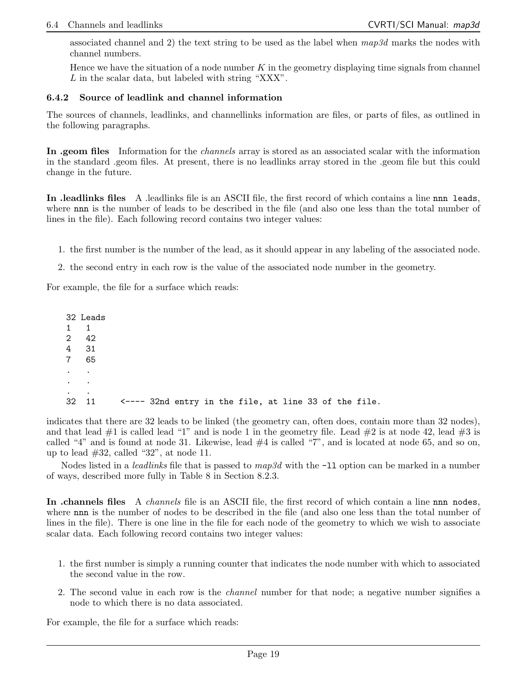associated channel and 2) the text string to be used as the label when *map3d* marks the nodes with channel numbers.

Hence we have the situation of a node number K in the geometry displaying time signals from channel L in the scalar data, but labeled with string "XXX".

#### **6.4.2 Source of leadlink and channel information**

The sources of channels, leadlinks, and channellinks information are files, or parts of files, as outlined in the following paragraphs.

**In .geom files** Information for the *channels* array is stored as an associated scalar with the information in the standard .geom files. At present, there is no leadlinks array stored in the .geom file but this could change in the future.

**In .leadlinks files** A .leadlinks file is an ASCII file, the first record of which contains a line nnn leads, where nnn is the number of leads to be described in the file (and also one less than the total number of lines in the file). Each following record contains two integer values:

- 1. the first number is the number of the lead, as it should appear in any labeling of the associated node.
- 2. the second entry in each row is the value of the associated node number in the geometry.

For example, the file for a surface which reads:

|                      | 32 Leads |                                                       |  |  |  |  |  |  |
|----------------------|----------|-------------------------------------------------------|--|--|--|--|--|--|
| $1 \quad 1$          |          |                                                       |  |  |  |  |  |  |
|                      | 2 42     |                                                       |  |  |  |  |  |  |
| 4                    | - 31     |                                                       |  |  |  |  |  |  |
|                      | 7 65     |                                                       |  |  |  |  |  |  |
| $\sim$ $\sim$ $\sim$ |          |                                                       |  |  |  |  |  |  |
| $\sim$ $\sim$ $\sim$ |          |                                                       |  |  |  |  |  |  |
| $\cdot$              | $\cdot$  |                                                       |  |  |  |  |  |  |
|                      | 32 11    | <---- 32nd entry in the file, at line 33 of the file. |  |  |  |  |  |  |

indicates that there are 32 leads to be linked (the geometry can, often does, contain more than 32 nodes), and that lead  $#1$  is called lead "1" and is node 1 in the geometry file. Lead  $#2$  is at node 42, lead  $#3$  is called "4" and is found at node 31. Likewise, lead  $#4$  is called "7", and is located at node 65, and so on, up to lead #32, called "32", at node 11.

Nodes listed in a *leadlinks* file that is passed to  $map3d$  with the -11 option can be marked in a number of ways, described more fully in Table 8 in Section 8.2.3.

**In .channels files** A *channels* file is an ASCII file, the first record of which contain a line nnn nodes, where nnn is the number of nodes to be described in the file (and also one less than the total number of lines in the file). There is one line in the file for each node of the geometry to which we wish to associate scalar data. Each following record contains two integer values:

- 1. the first number is simply a running counter that indicates the node number with which to associated the second value in the row.
- 2. The second value in each row is the *channel* number for that node; a negative number signifies a node to which there is no data associated.

For example, the file for a surface which reads: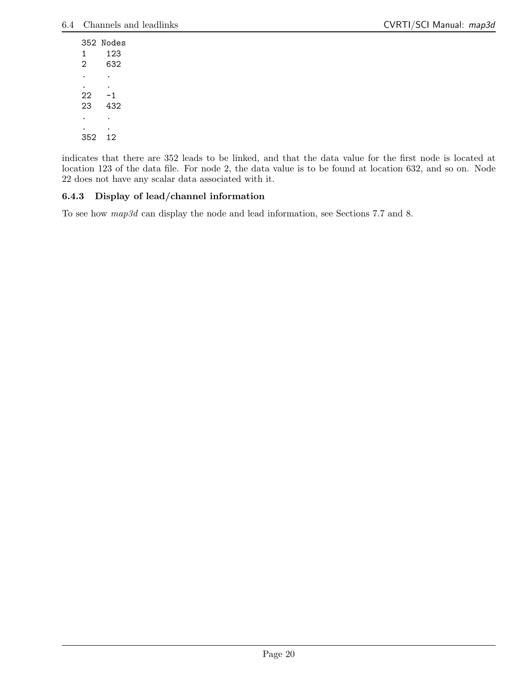352 Nodes 1 123 2 632 . . . .  $22 - 1$ 23 432 . . . . 352 12

indicates that there are 352 leads to be linked, and that the data value for the first node is located at location 123 of the data file. For node 2, the data value is to be found at location 632, and so on. Node 22 does not have any scalar data associated with it.

#### **6.4.3 Display of lead/channel information**

To see how *map3d* can display the node and lead information, see Sections 7.7 and 8.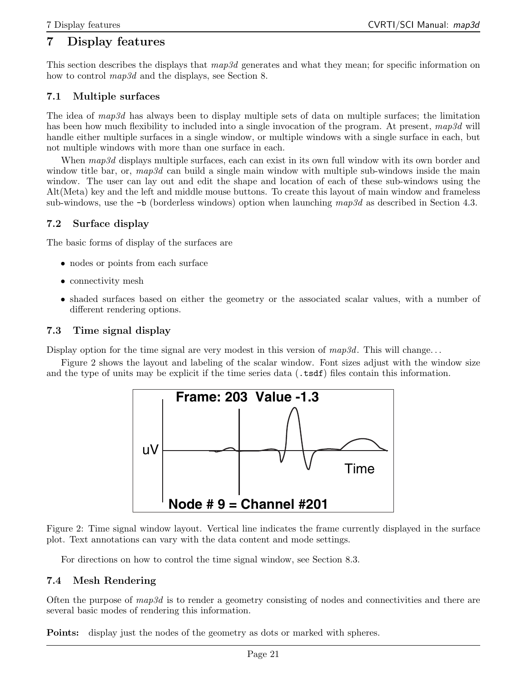## **7 Display features**

This section describes the displays that *map3d* generates and what they mean; for specific information on how to control *map3d* and the displays, see Section 8.

#### **7.1 Multiple surfaces**

The idea of *map3d* has always been to display multiple sets of data on multiple surfaces; the limitation has been how much flexibility to included into a single invocation of the program. At present, *map3d* will handle either multiple surfaces in a single window, or multiple windows with a single surface in each, but not multiple windows with more than one surface in each.

When *map3d* displays multiple surfaces, each can exist in its own full window with its own border and window title bar, or, *map3d* can build a single main window with multiple sub-windows inside the main window. The user can lay out and edit the shape and location of each of these sub-windows using the Alt(Meta) key and the left and middle mouse buttons. To create this layout of main window and frameless sub-windows, use the -b (borderless windows) option when launching *map3d* as described in Section 4.3.

#### **7.2 Surface display**

The basic forms of display of the surfaces are

- nodes or points from each surface
- connectivity mesh
- shaded surfaces based on either the geometry or the associated scalar values, with a number of different rendering options.

#### **7.3 Time signal display**

Display option for the time signal are very modest in this version of  $map3d$ . This will change...

Figure 2 shows the layout and labeling of the scalar window. Font sizes adjust with the window size and the type of units may be explicit if the time series data (.tsdf) files contain this information.



Figure 2: Time signal window layout. Vertical line indicates the frame currently displayed in the surface plot. Text annotations can vary with the data content and mode settings.

For directions on how to control the time signal window, see Section 8.3.

#### **7.4 Mesh Rendering**

Often the purpose of *map3d* is to render a geometry consisting of nodes and connectivities and there are several basic modes of rendering this information.

**Points:** display just the nodes of the geometry as dots or marked with spheres.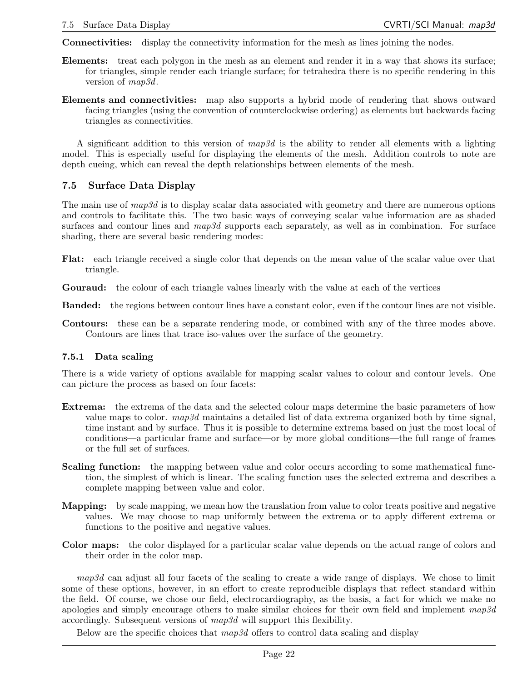**Connectivities:** display the connectivity information for the mesh as lines joining the nodes.

- **Elements:** treat each polygon in the mesh as an element and render it in a way that shows its surface; for triangles, simple render each triangle surface; for tetrahedra there is no specific rendering in this version of *map3d*.
- **Elements and connectivities:** map also supports a hybrid mode of rendering that shows outward facing triangles (using the convention of counterclockwise ordering) as elements but backwards facing triangles as connectivities.

A significant addition to this version of *map3d* is the ability to render all elements with a lighting model. This is especially useful for displaying the elements of the mesh. Addition controls to note are depth cueing, which can reveal the depth relationships between elements of the mesh.

#### **7.5 Surface Data Display**

The main use of *map3d* is to display scalar data associated with geometry and there are numerous options and controls to facilitate this. The two basic ways of conveying scalar value information are as shaded surfaces and contour lines and *map3d* supports each separately, as well as in combination. For surface shading, there are several basic rendering modes:

- **Flat:** each triangle received a single color that depends on the mean value of the scalar value over that triangle.
- **Gouraud:** the colour of each triangle values linearly with the value at each of the vertices

**Banded:** the regions between contour lines have a constant color, even if the contour lines are not visible.

**Contours:** these can be a separate rendering mode, or combined with any of the three modes above. Contours are lines that trace iso-values over the surface of the geometry.

#### **7.5.1 Data scaling**

There is a wide variety of options available for mapping scalar values to colour and contour levels. One can picture the process as based on four facets:

- **Extrema:** the extrema of the data and the selected colour maps determine the basic parameters of how value maps to color. *map3d* maintains a detailed list of data extrema organized both by time signal, time instant and by surface. Thus it is possible to determine extrema based on just the most local of conditions—a particular frame and surface—or by more global conditions—the full range of frames or the full set of surfaces.
- **Scaling function:** the mapping between value and color occurs according to some mathematical function, the simplest of which is linear. The scaling function uses the selected extrema and describes a complete mapping between value and color.
- **Mapping:** by scale mapping, we mean how the translation from value to color treats positive and negative values. We may choose to map uniformly between the extrema or to apply different extrema or functions to the positive and negative values.
- **Color maps:** the color displayed for a particular scalar value depends on the actual range of colors and their order in the color map.

*map3d* can adjust all four facets of the scaling to create a wide range of displays. We chose to limit some of these options, however, in an effort to create reproducible displays that reflect standard within the field. Of course, we chose our field, electrocardiography, as the basis, a fact for which we make no apologies and simply encourage others to make similar choices for their own field and implement *map3d* accordingly. Subsequent versions of *map3d* will support this flexibility.

Below are the specific choices that *map3d* offers to control data scaling and display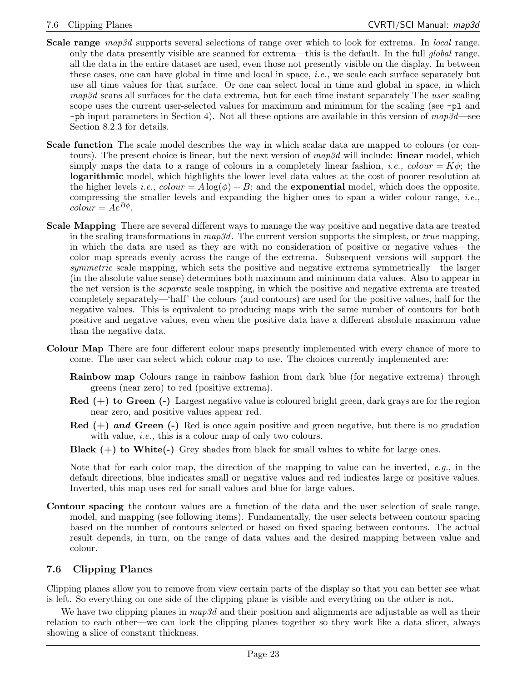- **Scale range**  $map3d$  supports several selections of range over which to look for extrema. In *local* range, only the data presently visible are scanned for extrema—this is the default. In the full *global* range, all the data in the entire dataset are used, even those not presently visible on the display. In between these cases, one can have global in time and local in space, *i.e.,* we scale each surface separately but use all time values for that surface. Or one can select local in time and global in space, in which *map3d* scans all surfaces for the data extrema, but for each time instant separately The *user* scaling scope uses the current user-selected values for maximum and minimum for the scaling (see  $\neg$ pl and -ph input parameters in Section 4). Not all these options are available in this version of *map3d*—see Section 8.2.3 for details.
- **Scale function** The scale model describes the way in which scalar data are mapped to colours (or contours). The present choice is linear, but the next version of *map3d* will include: **linear** model, which simply maps the data to a range of colours in a completely linear fashion, *i.e.*, colour =  $K\phi$ ; the **logarithmic** model, which highlights the lower level data values at the cost of poorer resolution at the higher levels *i.e.,*  $colour = A \log(\phi) + B$ ; and the **exponential** model, which does the opposite, compressing the smaller levels and expanding the higher ones to span a wider colour range, *i.e.,*  $colour = Ae^{B\phi}$ .
- **Scale Mapping** There are several different ways to manage the way positive and negative data are treated in the scaling transformations in *map3d*. The current version supports the simplest, or *true* mapping, in which the data are used as they are with no consideration of positive or negative values—the color map spreads evenly across the range of the extrema. Subsequent versions will support the *symmetric* scale mapping, which sets the positive and negative extrema symmetrically—the larger (in the absolute value sense) determines both maximum and minimum data values. Also to appear in the net version is the *separate* scale mapping, in which the positive and negative extrema are treated completely separately—'half' the colours (and contours) are used for the positive values, half for the negative values. This is equivalent to producing maps with the same number of contours for both positive and negative values, even when the positive data have a different absolute maximum value than the negative data.
- **Colour Map** There are four different colour maps presently implemented with every chance of more to come. The user can select which colour map to use. The choices currently implemented are:
	- **Rainbow map** Colours range in rainbow fashion from dark blue (for negative extrema) through greens (near zero) to red (positive extrema).
	- **Red (+) to Green (-)** Largest negative value is coloured bright green, dark grays are for the region near zero, and positive values appear red.
	- **Red (+)** *and* **Green (-)** Red is once again positive and green negative, but there is no gradation with value, *i.e.,* this is a colour map of only two colours.
	- **Black**  $(+)$  to White<sup> $(-)$ </sup> Grey shades from black for small values to white for large ones.

Note that for each color map, the direction of the mapping to value can be inverted, *e.g.,* in the default directions, blue indicates small or negative values and red indicates large or positive values. Inverted, this map uses red for small values and blue for large values.

**Contour spacing** the contour values are a function of the data and the user selection of scale range, model, and mapping (see following items). Fundamentally, the user selects between contour spacing based on the number of contours selected or based on fixed spacing between contours. The actual result depends, in turn, on the range of data values and the desired mapping between value and colour.

#### **7.6 Clipping Planes**

Clipping planes allow you to remove from view certain parts of the display so that you can better see what is left. So everything on one side of the clipping plane is visible and everything on the other is not.

We have two clipping planes in  $map3d$  and their position and alignments are adjustable as well as their relation to each other—we can lock the clipping planes together so they work like a data slicer, always showing a slice of constant thickness.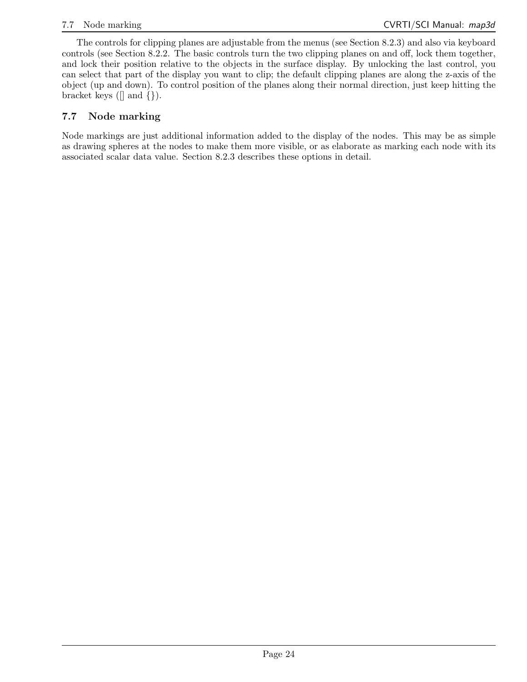The controls for clipping planes are adjustable from the menus (see Section 8.2.3) and also via keyboard controls (see Section 8.2.2. The basic controls turn the two clipping planes on and off, lock them together, and lock their position relative to the objects in the surface display. By unlocking the last control, you can select that part of the display you want to clip; the default clipping planes are along the z-axis of the object (up and down). To control position of the planes along their normal direction, just keep hitting the bracket keys ([] and *{}*).

### **7.7 Node marking**

Node markings are just additional information added to the display of the nodes. This may be as simple as drawing spheres at the nodes to make them more visible, or as elaborate as marking each node with its associated scalar data value. Section 8.2.3 describes these options in detail.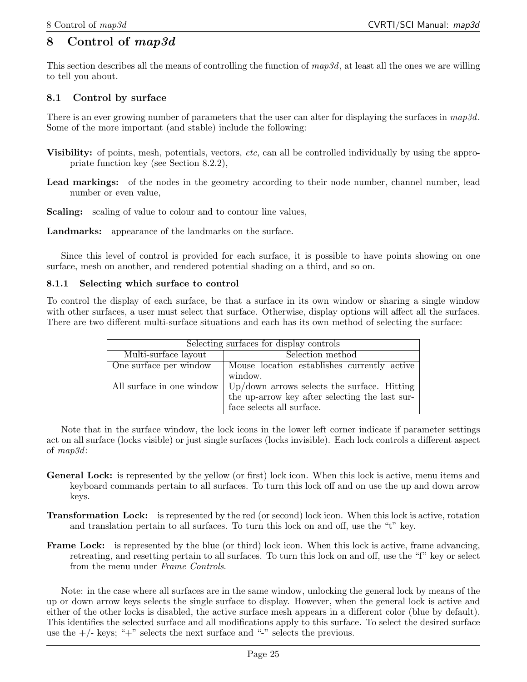## **8 Control of** *map3d*

This section describes all the means of controlling the function of *map3d*, at least all the ones we are willing to tell you about.

#### **8.1 Control by surface**

There is an ever growing number of parameters that the user can alter for displaying the surfaces in *map3d*. Some of the more important (and stable) include the following:

- **Visibility:** of points, mesh, potentials, vectors, *etc,* can all be controlled individually by using the appropriate function key (see Section 8.2.2),
- Lead markings: of the nodes in the geometry according to their node number, channel number, lead number or even value,
- **Scaling:** scaling of value to colour and to contour line values,
- **Landmarks:** appearance of the landmarks on the surface.

Since this level of control is provided for each surface, it is possible to have points showing on one surface, mesh on another, and rendered potential shading on a third, and so on.

#### **8.1.1 Selecting which surface to control**

To control the display of each surface, be that a surface in its own window or sharing a single window with other surfaces, a user must select that surface. Otherwise, display options will affect all the surfaces. There are two different multi-surface situations and each has its own method of selecting the surface:

| Selecting surfaces for display controls |                                                                                                                                       |  |  |  |  |
|-----------------------------------------|---------------------------------------------------------------------------------------------------------------------------------------|--|--|--|--|
| Multi-surface layout                    | Selection method                                                                                                                      |  |  |  |  |
| One surface per window                  | Mouse location establishes currently active                                                                                           |  |  |  |  |
| All surface in one window               | window.<br>Up/down arrows selects the surface. Hitting<br>the up-arrow key after selecting the last sur-<br>face selects all surface. |  |  |  |  |

Note that in the surface window, the lock icons in the lower left corner indicate if parameter settings act on all surface (locks visible) or just single surfaces (locks invisible). Each lock controls a different aspect of *map3d*:

- **General Lock:** is represented by the yellow (or first) lock icon. When this lock is active, menu items and keyboard commands pertain to all surfaces. To turn this lock off and on use the up and down arrow keys.
- **Transformation Lock:** is represented by the red (or second) lock icon. When this lock is active, rotation and translation pertain to all surfaces. To turn this lock on and off, use the "t" key.
- **Frame Lock:** is represented by the blue (or third) lock icon. When this lock is active, frame advancing, retreating, and resetting pertain to all surfaces. To turn this lock on and off, use the "f" key or select from the menu under *Frame Controls*.

Note: in the case where all surfaces are in the same window, unlocking the general lock by means of the up or down arrow keys selects the single surface to display. However, when the general lock is active and either of the other locks is disabled, the active surface mesh appears in a different color (blue by default). This identifies the selected surface and all modifications apply to this surface. To select the desired surface use the  $+/-$  keys; " $+$ " selects the next surface and "-" selects the previous.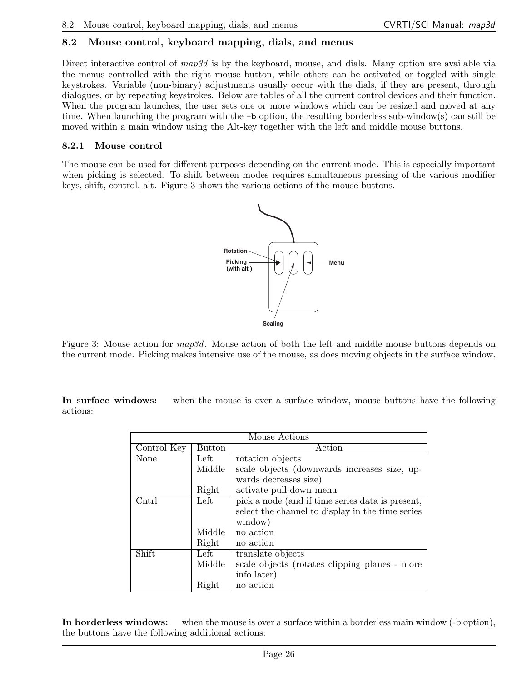#### **8.2 Mouse control, keyboard mapping, dials, and menus**

Direct interactive control of  $map3d$  is by the keyboard, mouse, and dials. Many option are available via the menus controlled with the right mouse button, while others can be activated or toggled with single keystrokes. Variable (non-binary) adjustments usually occur with the dials, if they are present, through dialogues, or by repeating keystrokes. Below are tables of all the current control devices and their function. When the program launches, the user sets one or more windows which can be resized and moved at any time. When launching the program with the -b option, the resulting borderless sub-window(s) can still be moved within a main window using the Alt-key together with the left and middle mouse buttons.

#### **8.2.1 Mouse control**

The mouse can be used for different purposes depending on the current mode. This is especially important when picking is selected. To shift between modes requires simultaneous pressing of the various modifier keys, shift, control, alt. Figure 3 shows the various actions of the mouse buttons.



Figure 3: Mouse action for *map3d*. Mouse action of both the left and middle mouse buttons depends on the current mode. Picking makes intensive use of the mouse, as does moving objects in the surface window.

**In surface windows:** when the mouse is over a surface window, mouse buttons have the following actions:

| Mouse Actions |               |                                                  |  |  |  |  |
|---------------|---------------|--------------------------------------------------|--|--|--|--|
| Control Key   | <b>Button</b> | Action                                           |  |  |  |  |
| None          | Left          | rotation objects                                 |  |  |  |  |
|               | Middle        | scale objects (downwards increases size, up-     |  |  |  |  |
|               |               | wards decreases size)                            |  |  |  |  |
|               | Right         | activate pull-down menu                          |  |  |  |  |
| Cntrl         | Left          | pick a node (and if time series data is present, |  |  |  |  |
|               |               | select the channel to display in the time series |  |  |  |  |
|               |               | window)                                          |  |  |  |  |
|               | Middle        | no action                                        |  |  |  |  |
|               | Right         | no action                                        |  |  |  |  |
| Shift         | Left          | translate objects                                |  |  |  |  |
|               | Middle        | scale objects (rotates clipping planes - more    |  |  |  |  |
|               |               | info later)                                      |  |  |  |  |
|               | Right         | no action                                        |  |  |  |  |

**In borderless windows:** when the mouse is over a surface within a borderless main window (-b option), the buttons have the following additional actions: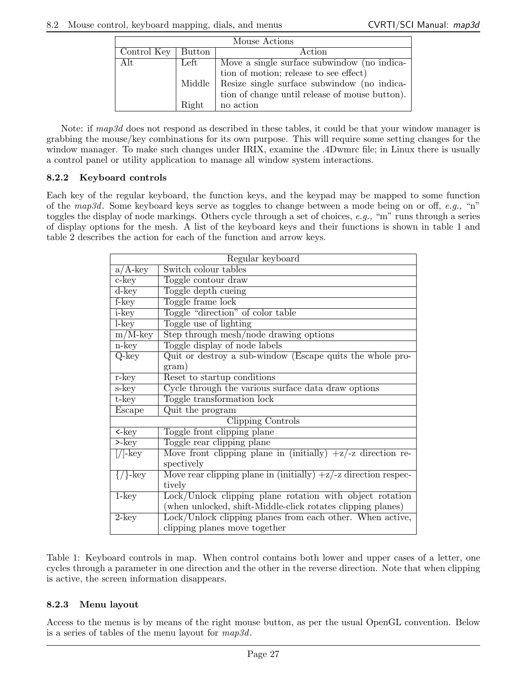| Mouse Actions |        |                                                                                                                                                |  |  |  |  |
|---------------|--------|------------------------------------------------------------------------------------------------------------------------------------------------|--|--|--|--|
| Control Key   | Button | Action                                                                                                                                         |  |  |  |  |
| Alt           | Left   | Move a single surface subwindow $\overline{p}$ (no indica-                                                                                     |  |  |  |  |
|               |        | tion of motion; release to see effect)<br>Middle Resize single surface subwindow (no indica-<br>tion of change until release of mouse button). |  |  |  |  |
|               | Right  | no action                                                                                                                                      |  |  |  |  |

Note: if *map3d* does not respond as described in these tables, it could be that your window manager is grabbing the mouse/key combinations for its own purpose. This will require some setting changes for the window manager. To make such changes under IRIX, examine the .4Dwmrc file; in Linux there is usually a control panel or utility application to manage all window system interactions.

#### **8.2.2 Keyboard controls**

Each key of the regular keyboard, the function keys, and the keypad may be mapped to some function of the *map3d*. Some keyboard keys serve as toggles to change between a mode being on or off, *e.g.,* "n" toggles the display of node markings. Others cycle through a set of choices, *e.g.,* "m" runs through a series of display options for the mesh. A list of the keyboard keys and their functions is shown in table 1 and table 2 describes the action for each of the function and arrow keys.

|                                   | Regular keyboard                                                  |  |  |  |
|-----------------------------------|-------------------------------------------------------------------|--|--|--|
| $a/A$ -key                        | Switch colour tables                                              |  |  |  |
| c-key                             | Toggle contour draw                                               |  |  |  |
| $d$ -key                          | Toggle depth cueing                                               |  |  |  |
| $f$ -key                          | Toggle frame lock                                                 |  |  |  |
| i-key                             | Toggle "direction" of color table                                 |  |  |  |
| $l$ -key                          | Toggle use of lighting                                            |  |  |  |
| $\rm m/M$ -key                    | Step through mesh/node drawing options                            |  |  |  |
| n-key                             | Toggle display of node labels                                     |  |  |  |
| $Q$ -key                          | Quit or destroy a sub-window (Escape quits the whole pro-         |  |  |  |
|                                   | $\rm gram)$                                                       |  |  |  |
| r-key                             | Reset to startup conditions                                       |  |  |  |
| s-key                             | Cycle through the various surface data draw options               |  |  |  |
| $t$ -key                          | Toggle transformation lock                                        |  |  |  |
| Escape                            | Quit the program                                                  |  |  |  |
| <b>Clipping Controls</b>          |                                                                   |  |  |  |
| $\langle -\text{key} \rangle$     | Toggle front clipping plane                                       |  |  |  |
| $>$ -key                          | Toggle rear clipping plane                                        |  |  |  |
| $\left[\right/\right]-\text{key}$ | Move front clipping plane in (initially) $+z/-z$ direction re-    |  |  |  |
|                                   | spectively                                                        |  |  |  |
| $\{/\}$ -key                      | Move rear clipping plane in (initially) $+z/-z$ direction respec- |  |  |  |
|                                   | tively                                                            |  |  |  |
| $1$ -key                          | Lock/Unlock clipping plane rotation with object rotation          |  |  |  |
|                                   | (when unlocked, shift-Middle-click rotates clipping planes)       |  |  |  |
| $2$ -key                          | Lock/Unlock clipping planes from each other. When active,         |  |  |  |
|                                   | clipping planes move together                                     |  |  |  |

Table 1: Keyboard controls in map. When control contains both lower and upper cases of a letter, one cycles through a parameter in one direction and the other in the reverse direction. Note that when clipping is active, the screen information disappears.

#### **8.2.3 Menu layout**

Access to the menus is by means of the right mouse button, as per the usual OpenGL convention. Below is a series of tables of the menu layout for *map3d*.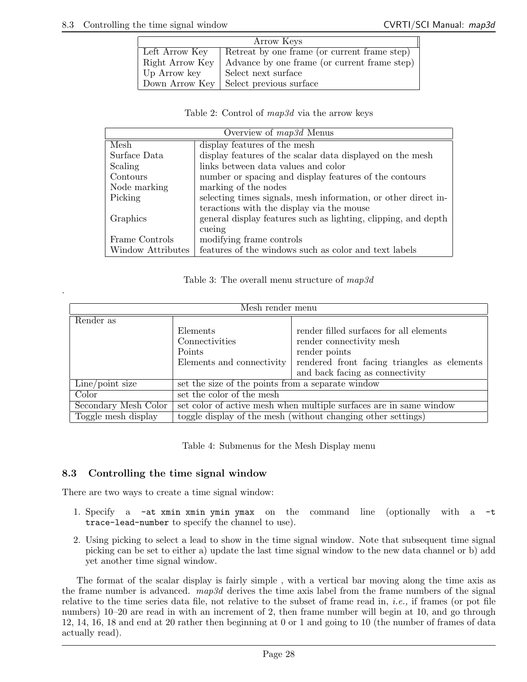.

| Arrow Keys     |                                                                |  |  |  |
|----------------|----------------------------------------------------------------|--|--|--|
| Left Arrow Key | Retreat by one frame (or current frame step)                   |  |  |  |
|                | Right Arrow Key   Advance by one frame (or current frame step) |  |  |  |
| Up Arrow key   | Select next surface                                            |  |  |  |
|                | Down Arrow Key   Select previous surface                       |  |  |  |

| Table 2: Control of map3d via the arrow keys |  |  |  |  |
|----------------------------------------------|--|--|--|--|
|                                              |  |  |  |  |

| Overview of <i>map3d</i> Menus |                                                                |  |  |  |
|--------------------------------|----------------------------------------------------------------|--|--|--|
| Mesh                           | display features of the mesh                                   |  |  |  |
| Surface Data                   | display features of the scalar data displayed on the mesh      |  |  |  |
| Scaling                        | links between data values and color                            |  |  |  |
| Contours                       | number or spacing and display features of the contours         |  |  |  |
| Node marking                   | marking of the nodes                                           |  |  |  |
| Picking                        | selecting times signals, mesh information, or other direct in- |  |  |  |
|                                | teractions with the display via the mouse                      |  |  |  |
| Graphics                       | general display features such as lighting, clipping, and depth |  |  |  |
|                                | cueing                                                         |  |  |  |
| Frame Controls                 | modifying frame controls                                       |  |  |  |
| Window Attributes              | features of the windows such as color and text labels          |  |  |  |

Table 3: The overall menu structure of *map3d*

| Mesh render menu     |                                                                    |                                                              |  |  |  |
|----------------------|--------------------------------------------------------------------|--------------------------------------------------------------|--|--|--|
| Render as            |                                                                    |                                                              |  |  |  |
|                      | Elements                                                           | render filled surfaces for all elements                      |  |  |  |
|                      | Connectivities                                                     | render connectivity mesh                                     |  |  |  |
|                      | Points                                                             | render points                                                |  |  |  |
|                      | Elements and connectivity                                          | rendered front facing triangles as elements                  |  |  |  |
|                      |                                                                    | and back facing as connectivity                              |  |  |  |
| Line/point size      | set the size of the points from a separate window                  |                                                              |  |  |  |
| Color                | set the color of the mesh                                          |                                                              |  |  |  |
| Secondary Mesh Color | set color of active mesh when multiple surfaces are in same window |                                                              |  |  |  |
| Toggle mesh display  |                                                                    | toggle display of the mesh (without changing other settings) |  |  |  |

Table 4: Submenus for the Mesh Display menu

#### **8.3 Controlling the time signal window**

There are two ways to create a time signal window:

- 1. Specify a -at xmin xmin ymin ymax on the command line (optionally with a -t trace-lead-number to specify the channel to use).
- 2. Using picking to select a lead to show in the time signal window. Note that subsequent time signal picking can be set to either a) update the last time signal window to the new data channel or b) add yet another time signal window.

The format of the scalar display is fairly simple , with a vertical bar moving along the time axis as the frame number is advanced. *map3d* derives the time axis label from the frame numbers of the signal relative to the time series data file, not relative to the subset of frame read in, *i.e.,* if frames (or pot file numbers) 10–20 are read in with an increment of 2, then frame number will begin at 10, and go through 12, 14, 16, 18 and end at 20 rather then beginning at 0 or 1 and going to 10 (the number of frames of data actually read).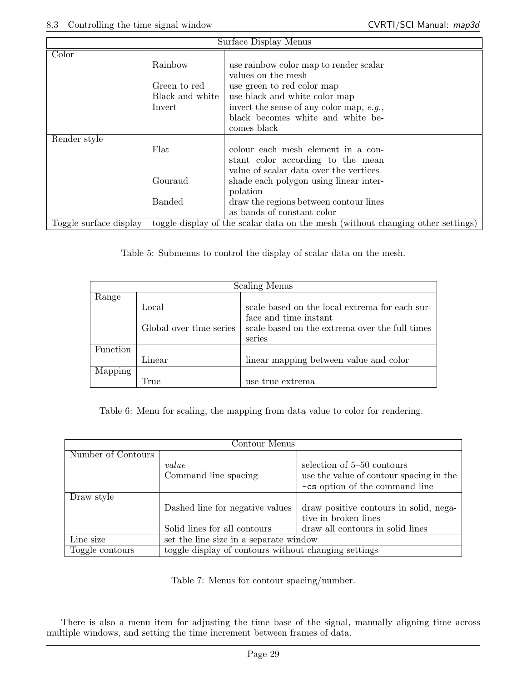| Surface Display Menus  |                                            |                                                                                                                             |  |  |
|------------------------|--------------------------------------------|-----------------------------------------------------------------------------------------------------------------------------|--|--|
| Color                  | Rainbow<br>Green to red<br>Black and white | use rainbow color map to render scalar<br>values on the mesh<br>use green to red color map<br>use black and white color map |  |  |
|                        | Invert                                     | invert the sense of any color map, $e.g.,$<br>black becomes white and white be-<br>comes black                              |  |  |
| Render style           | Flat                                       | colour each mesh element in a con-<br>stant color according to the mean<br>value of scalar data over the vertices           |  |  |
|                        | Gouraud                                    | shade each polygon using linear inter-<br>polation                                                                          |  |  |
|                        | <b>Banded</b>                              | draw the regions between contour lines<br>as bands of constant color                                                        |  |  |
| Toggle surface display |                                            | toggle display of the scalar data on the mesh (without changing other settings)                                             |  |  |

Table 5: Submenus to control the display of scalar data on the mesh.

| Scaling Menus |                         |                                                |  |  |
|---------------|-------------------------|------------------------------------------------|--|--|
| Range         |                         |                                                |  |  |
|               | Local                   | scale based on the local extrema for each sur- |  |  |
|               |                         | face and time instant                          |  |  |
|               | Global over time series | scale based on the extrema over the full times |  |  |
|               |                         | series                                         |  |  |
| Function      |                         |                                                |  |  |
|               | $\Box$ inear            | linear mapping between value and color         |  |  |
| Mapping       |                         |                                                |  |  |
|               | l rue                   | use true extrema                               |  |  |

Table 6: Menu for scaling, the mapping from data value to color for rendering.

| Contour Menus      |                                                      |                                         |  |  |  |
|--------------------|------------------------------------------------------|-----------------------------------------|--|--|--|
| Number of Contours |                                                      |                                         |  |  |  |
|                    | value                                                | selection of 5–50 contours              |  |  |  |
|                    | Command line spacing                                 | use the value of contour spacing in the |  |  |  |
|                    |                                                      | -cs option of the command line          |  |  |  |
| Draw style         |                                                      |                                         |  |  |  |
|                    | Dashed line for negative values                      | draw positive contours in solid, nega-  |  |  |  |
|                    |                                                      | tive in broken lines                    |  |  |  |
|                    | Solid lines for all contours                         | draw all contours in solid lines        |  |  |  |
| Line size          | set the line size in a separate window               |                                         |  |  |  |
| Toggle contours    | toggle display of contours without changing settings |                                         |  |  |  |

Table 7: Menus for contour spacing/number.

There is also a menu item for adjusting the time base of the signal, manually aligning time across multiple windows, and setting the time increment between frames of data.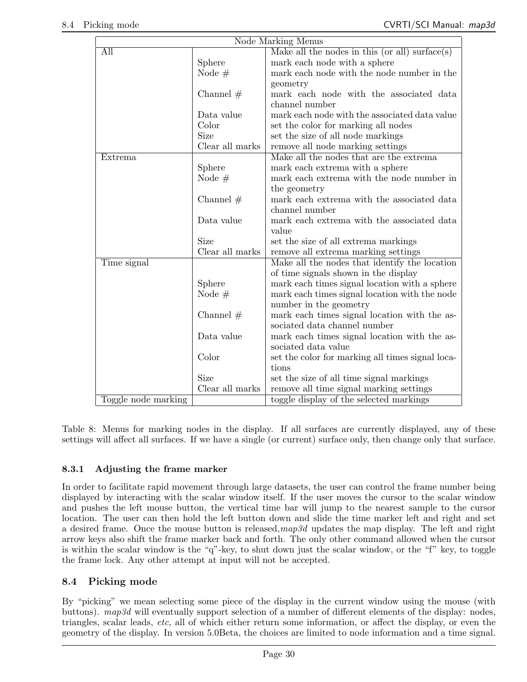| <b>Node Marking Menus</b> |                 |                                                  |  |  |
|---------------------------|-----------------|--------------------------------------------------|--|--|
| All                       |                 | Make all the nodes in this (or all) surface(s)   |  |  |
|                           | Sphere          | mark each node with a sphere                     |  |  |
|                           | Node $#$        | mark each node with the node number in the       |  |  |
|                           |                 | geometry                                         |  |  |
|                           | Channel $#$     | mark each node with the associated data          |  |  |
|                           |                 | channel number                                   |  |  |
|                           | Data value      | mark each node with the associated data value    |  |  |
|                           | Color           | set the color for marking all nodes              |  |  |
|                           | <b>Size</b>     | set the size of all node markings                |  |  |
|                           | Clear all marks | remove all node marking settings                 |  |  |
| Extrema                   |                 | Make all the nodes that are the extrema          |  |  |
|                           | Sphere          | mark each extrema with a sphere                  |  |  |
|                           | Node $#$        | mark each extrema with the node number in        |  |  |
|                           |                 | the geometry                                     |  |  |
|                           | Channel $#$     | mark each extrema with the associated data       |  |  |
|                           |                 | channel number                                   |  |  |
|                           | Data value      | mark each extrema with the associated data       |  |  |
|                           |                 | value                                            |  |  |
|                           | <b>Size</b>     | set the size of all extrema markings             |  |  |
|                           | Clear all marks | remove all extrema marking settings              |  |  |
| Time signal               |                 | Make all the nodes that identify the location    |  |  |
|                           |                 | of time signals shown in the display             |  |  |
|                           | Sphere          | mark each times signal location with a sphere    |  |  |
|                           | Node $#$        | mark each times signal location with the node    |  |  |
|                           |                 | number in the geometry                           |  |  |
|                           | Channel $#$     | mark each times signal location with the as-     |  |  |
|                           |                 | sociated data channel number                     |  |  |
|                           | Data value      | mark each times signal location with the as-     |  |  |
|                           |                 | sociated data value                              |  |  |
|                           | Color           | set the color for marking all times signal loca- |  |  |
|                           |                 | tions                                            |  |  |
|                           | <b>Size</b>     | set the size of all time signal markings         |  |  |
|                           | Clear all marks | remove all time signal marking settings          |  |  |
| Toggle node marking       |                 | toggle display of the selected markings          |  |  |

Table 8: Menus for marking nodes in the display. If all surfaces are currently displayed, any of these settings will affect all surfaces. If we have a single (or current) surface only, then change only that surface.

#### **8.3.1 Adjusting the frame marker**

In order to facilitate rapid movement through large datasets, the user can control the frame number being displayed by interacting with the scalar window itself. If the user moves the cursor to the scalar window and pushes the left mouse button, the vertical time bar will jump to the nearest sample to the cursor location. The user can then hold the left button down and slide the time marker left and right and set a desired frame. Once the mouse button is released,*map3d* updates the map display. The left and right arrow keys also shift the frame marker back and forth. The only other command allowed when the cursor is within the scalar window is the "q"-key, to shut down just the scalar window, or the "f" key, to toggle the frame lock. Any other attempt at input will not be accepted.

#### **8.4 Picking mode**

By "picking" we mean selecting some piece of the display in the current window using the mouse (with buttons). *map3d* will eventually support selection of a number of different elements of the display: nodes, triangles, scalar leads, *etc,* all of which either return some information, or affect the display, or even the geometry of the display. In version 5.0Beta, the choices are limited to node information and a time signal.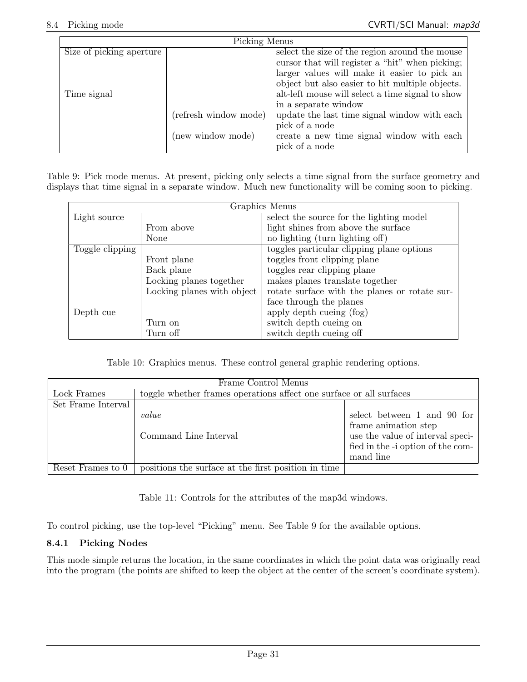| Picking Menus            |                       |                                                  |  |  |  |  |
|--------------------------|-----------------------|--------------------------------------------------|--|--|--|--|
| Size of picking aperture |                       | select the size of the region around the mouse   |  |  |  |  |
|                          |                       | cursor that will register a "hit" when picking;  |  |  |  |  |
|                          |                       | larger values will make it easier to pick an     |  |  |  |  |
|                          |                       | object but also easier to hit multiple objects.  |  |  |  |  |
| Time signal              |                       | alt-left mouse will select a time signal to show |  |  |  |  |
|                          |                       | in a separate window                             |  |  |  |  |
|                          | (refresh window mode) | update the last time signal window with each     |  |  |  |  |
|                          |                       | pick of a node                                   |  |  |  |  |
|                          | (new window mode)     | create a new time signal window with each        |  |  |  |  |
|                          |                       | pick of a node                                   |  |  |  |  |

Table 9: Pick mode menus. At present, picking only selects a time signal from the surface geometry and displays that time signal in a separate window. Much new functionality will be coming soon to picking.

| Graphics Menus  |                            |                                               |  |  |
|-----------------|----------------------------|-----------------------------------------------|--|--|
| Light source    |                            | select the source for the lighting model      |  |  |
|                 | From above                 | light shines from above the surface           |  |  |
|                 | None                       | no lighting (turn lighting off)               |  |  |
| Toggle clipping |                            | toggles particular clipping plane options     |  |  |
|                 | Front plane                | toggles front clipping plane                  |  |  |
|                 | Back plane                 | toggles rear clipping plane                   |  |  |
|                 | Locking planes together    | makes planes translate together               |  |  |
|                 | Locking planes with object | rotate surface with the planes or rotate sur- |  |  |
|                 |                            | face through the planes                       |  |  |
| Depth cue       |                            | apply depth cueing (fog)                      |  |  |
|                 | Turn on                    | switch depth cueing on                        |  |  |
|                 | Turn off                   | switch depth cueing off                       |  |  |

Table 10: Graphics menus. These control general graphic rendering options.

|                    | Frame Control Menus                                                 |                                   |  |  |  |  |
|--------------------|---------------------------------------------------------------------|-----------------------------------|--|--|--|--|
| Lock Frames        | toggle whether frames operations affect one surface or all surfaces |                                   |  |  |  |  |
| Set Frame Interval |                                                                     |                                   |  |  |  |  |
|                    | value                                                               | select between 1 and 90 for       |  |  |  |  |
|                    |                                                                     | frame animation step              |  |  |  |  |
|                    | Command Line Interval                                               | use the value of interval speci-  |  |  |  |  |
|                    |                                                                     | fied in the -i option of the com- |  |  |  |  |
|                    |                                                                     | mand line                         |  |  |  |  |
| Reset Frames to 0  | positions the surface at the first position in time                 |                                   |  |  |  |  |

Table 11: Controls for the attributes of the map3d windows.

To control picking, use the top-level "Picking" menu. See Table 9 for the available options.

#### **8.4.1 Picking Nodes**

This mode simple returns the location, in the same coordinates in which the point data was originally read into the program (the points are shifted to keep the object at the center of the screen's coordinate system).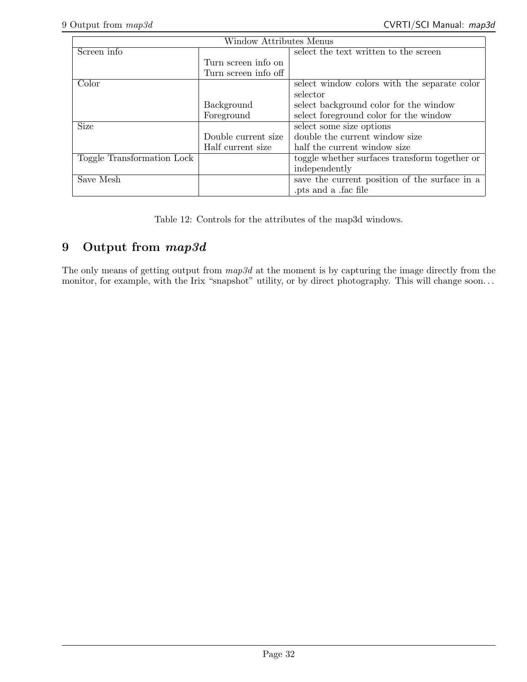| Window Attributes Menus    |                      |                                               |
|----------------------------|----------------------|-----------------------------------------------|
| Screen info                |                      | select the text written to the screen         |
|                            | Turn screen info on  |                                               |
|                            | Turn screen info off |                                               |
| Color                      |                      | select window colors with the separate color  |
|                            |                      | selector                                      |
|                            | Background           | select background color for the window        |
|                            | Foreground           | select foreground color for the window        |
| <b>Size</b>                |                      | select some size options                      |
|                            | Double current size  | double the current window size                |
|                            | Half current size    | half the current window size                  |
| Toggle Transformation Lock |                      | toggle whether surfaces transform together or |
|                            |                      | independently                                 |
| Save Mesh                  |                      | save the current position of the surface in a |
|                            |                      | .pts and a .fac file                          |

Table 12: Controls for the attributes of the map3d windows.

## **9 Output from** *map3d*

The only means of getting output from *map3d* at the moment is by capturing the image directly from the monitor, for example, with the Irix "snapshot" utility, or by direct photography. This will change soon...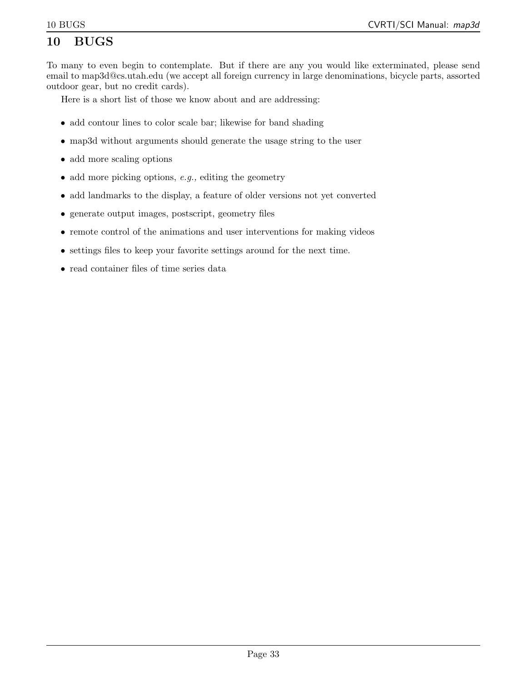## **10 BUGS**

To many to even begin to contemplate. But if there are any you would like exterminated, please send email to map3d@cs.utah.edu (we accept all foreign currency in large denominations, bicycle parts, assorted outdoor gear, but no credit cards).

Here is a short list of those we know about and are addressing:

- add contour lines to color scale bar; likewise for band shading
- *•* map3d without arguments should generate the usage string to the user
- add more scaling options
- *•* add more picking options, *e.g.,* editing the geometry
- add landmarks to the display, a feature of older versions not yet converted
- *•* generate output images, postscript, geometry files
- remote control of the animations and user interventions for making videos
- *•* settings files to keep your favorite settings around for the next time.
- read container files of time series data